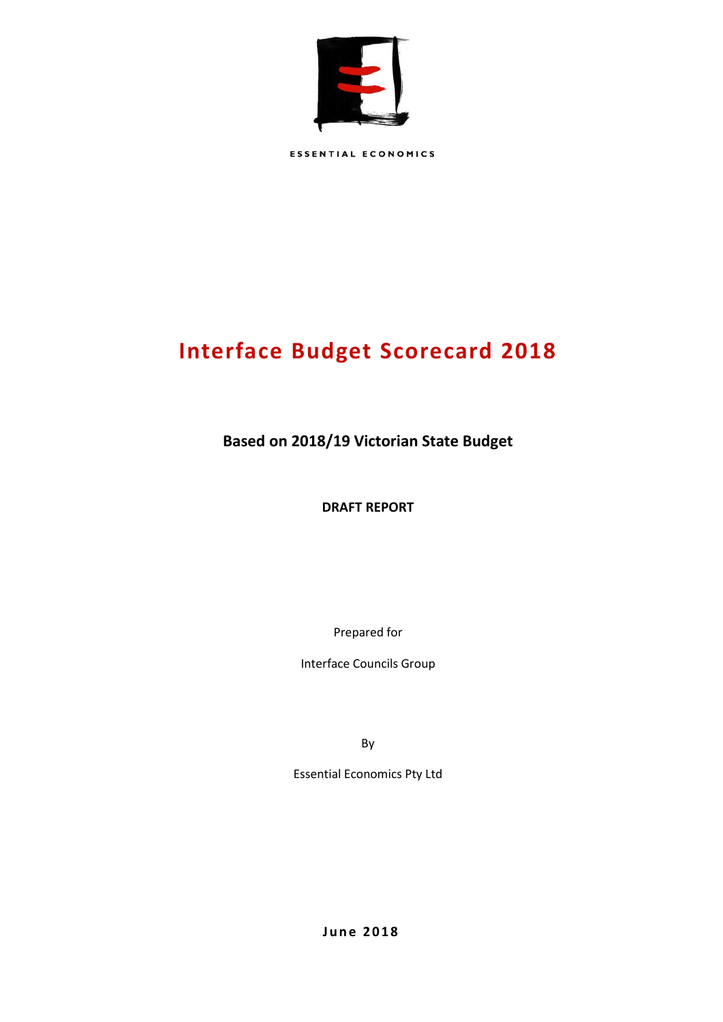

ESSENTIAL ECONOMICS

# **Interface Budget Scorecard 2018**

**Based on 2018/19 Victorian State Budget**

**DRAFT REPORT**

Prepared for

Interface Councils Group

By

Essential Economics Pty Ltd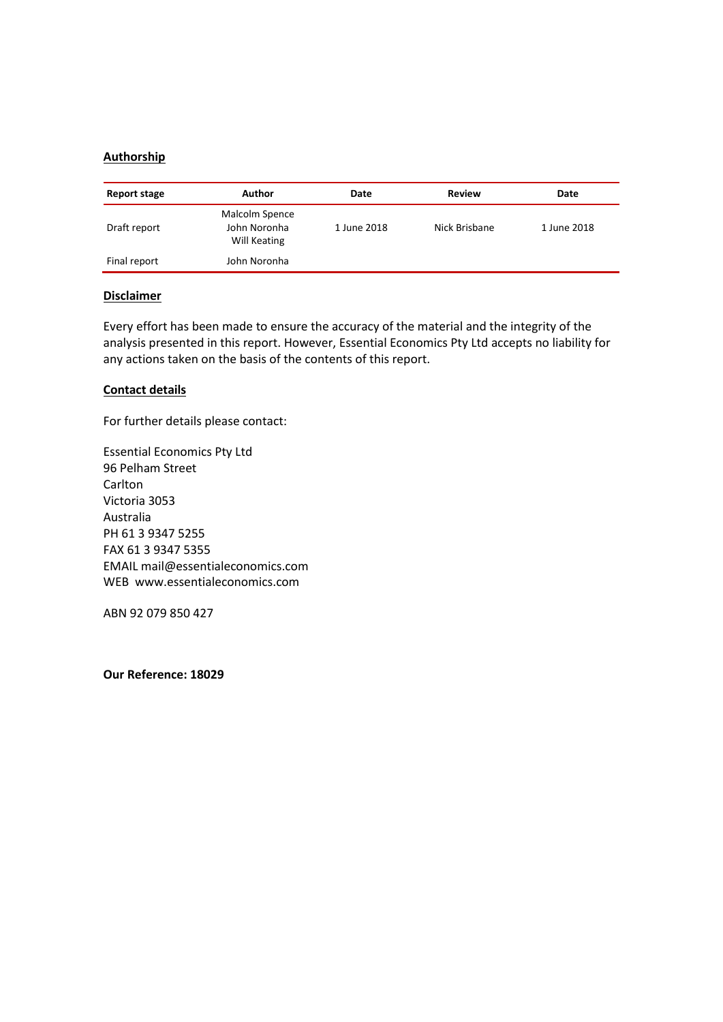### **Authorship**

| Report stage | Author                                         | Date        | Review        | Date        |
|--------------|------------------------------------------------|-------------|---------------|-------------|
| Draft report | Malcolm Spence<br>John Noronha<br>Will Keating | 1 June 2018 | Nick Brisbane | 1 June 2018 |
| Final report | John Noronha                                   |             |               |             |

#### **Disclaimer**

Every effort has been made to ensure the accuracy of the material and the integrity of the analysis presented in this report. However, Essential Economics Pty Ltd accepts no liability for any actions taken on the basis of the contents of this report.

#### **Contact details**

For further details please contact:

Essential Economics Pty Ltd 96 Pelham Street Carlton Victoria 3053 Australia PH 61 3 9347 5255 FAX 61 3 9347 5355 EMAIL mail@essentialeconomics.com WEB www.essentialeconomics.com

ABN 92 079 850 427

**Our Reference: 18029**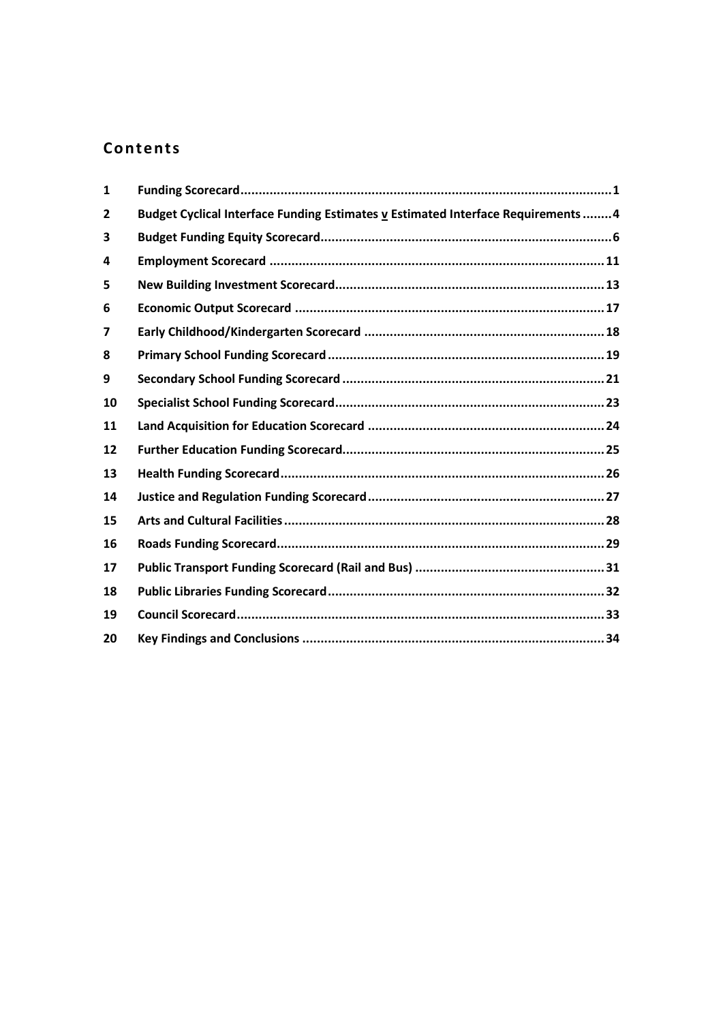## **Contents**

| $\mathbf{1}$ |                                                                                  |  |
|--------------|----------------------------------------------------------------------------------|--|
| 2            | Budget Cyclical Interface Funding Estimates v Estimated Interface Requirements 4 |  |
| 3            |                                                                                  |  |
| 4            |                                                                                  |  |
| 5            |                                                                                  |  |
| 6            |                                                                                  |  |
| 7            |                                                                                  |  |
| 8            |                                                                                  |  |
| 9            |                                                                                  |  |
| 10           |                                                                                  |  |
| 11           |                                                                                  |  |
| 12           |                                                                                  |  |
| 13           |                                                                                  |  |
| 14           |                                                                                  |  |
| 15           |                                                                                  |  |
| 16           |                                                                                  |  |
| 17           |                                                                                  |  |
| 18           |                                                                                  |  |
| 19           |                                                                                  |  |
| 20           |                                                                                  |  |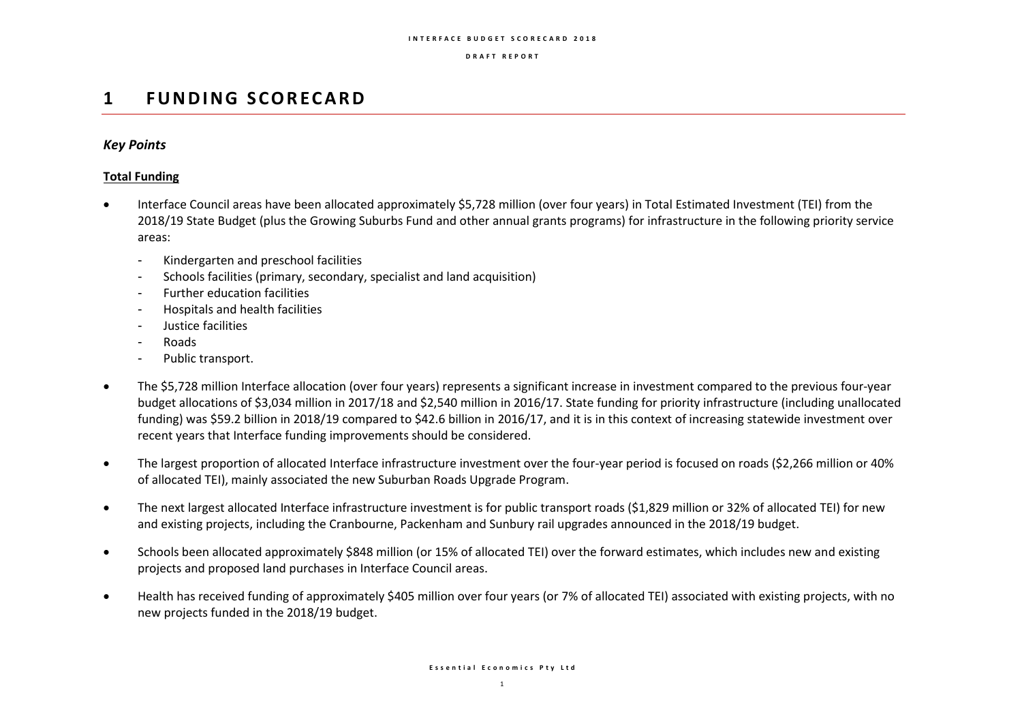#### **I N T E R F A C E B U D G E T S C O R E C A R D 2 0 1 8**

#### **D R A F T R E P O R T**

## **1 F U N D I N G S C O REC A R D**

### *Key Points*

### **Total Funding**

- Interface Council areas have been allocated approximately \$5,728 million (over four years) in Total Estimated Investment (TEI) from the 2018/19 State Budget (plus the Growing Suburbs Fund and other annual grants programs) for infrastructure in the following priority service areas:
	- Kindergarten and preschool facilities
	- Schools facilities (primary, secondary, specialist and land acquisition)
	- Further education facilities
	- Hospitals and health facilities
	- Justice facilities
	- Roads
	- Public transport.
- The \$5,728 million Interface allocation (over four years) represents a significant increase in investment compared to the previous four-year budget allocations of \$3,034 million in 2017/18 and \$2,540 million in 2016/17. State funding for priority infrastructure (including unallocated funding) was \$59.2 billion in 2018/19 compared to \$42.6 billion in 2016/17, and it is in this context of increasing statewide investment over recent years that Interface funding improvements should be considered.
- The largest proportion of allocated Interface infrastructure investment over the four-year period is focused on roads (\$2,266 million or 40% of allocated TEI), mainly associated the new Suburban Roads Upgrade Program.
- The next largest allocated Interface infrastructure investment is for public transport roads (\$1,829 million or 32% of allocated TEI) for new and existing projects, including the Cranbourne, Packenham and Sunbury rail upgrades announced in the 2018/19 budget.
- Schools been allocated approximately \$848 million (or 15% of allocated TEI) over the forward estimates, which includes new and existing projects and proposed land purchases in Interface Council areas.
- Health has received funding of approximately \$405 million over four years (or 7% of allocated TEI) associated with existing projects, with no new projects funded in the 2018/19 budget.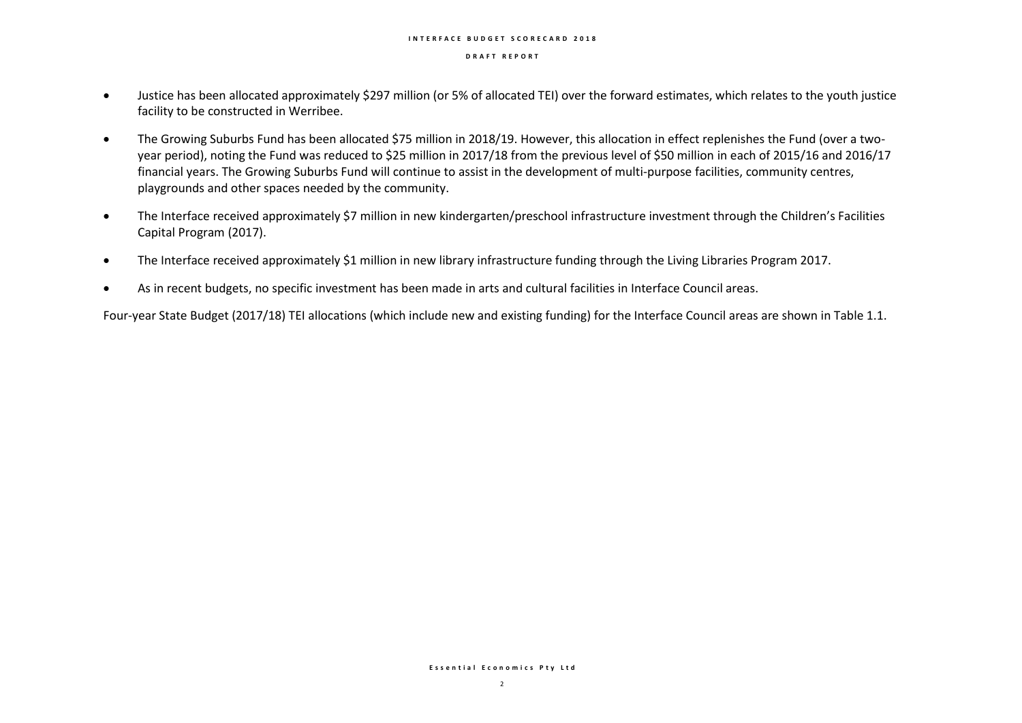#### **I N T E R F A C E B U D G E T S C O R E C A R D 2 0 1 8**

#### **D R A F T R E P O R T**

- Justice has been allocated approximately \$297 million (or 5% of allocated TEI) over the forward estimates, which relates to the youth justice facility to be constructed in Werribee.
- The Growing Suburbs Fund has been allocated \$75 million in 2018/19. However, this allocation in effect replenishes the Fund (over a twoyear period), noting the Fund was reduced to \$25 million in 2017/18 from the previous level of \$50 million in each of 2015/16 and 2016/17 financial years. The Growing Suburbs Fund will continue to assist in the development of multi-purpose facilities, community centres, playgrounds and other spaces needed by the community.
- The Interface received approximately \$7 million in new kindergarten/preschool infrastructure investment through the Children's Facilities Capital Program (2017).
- The Interface received approximately \$1 million in new library infrastructure funding through the Living Libraries Program 2017.
- As in recent budgets, no specific investment has been made in arts and cultural facilities in Interface Council areas.

Four-year State Budget (2017/18) TEI allocations (which include new and existing funding) for the Interface Council areas are shown in Table 1.1.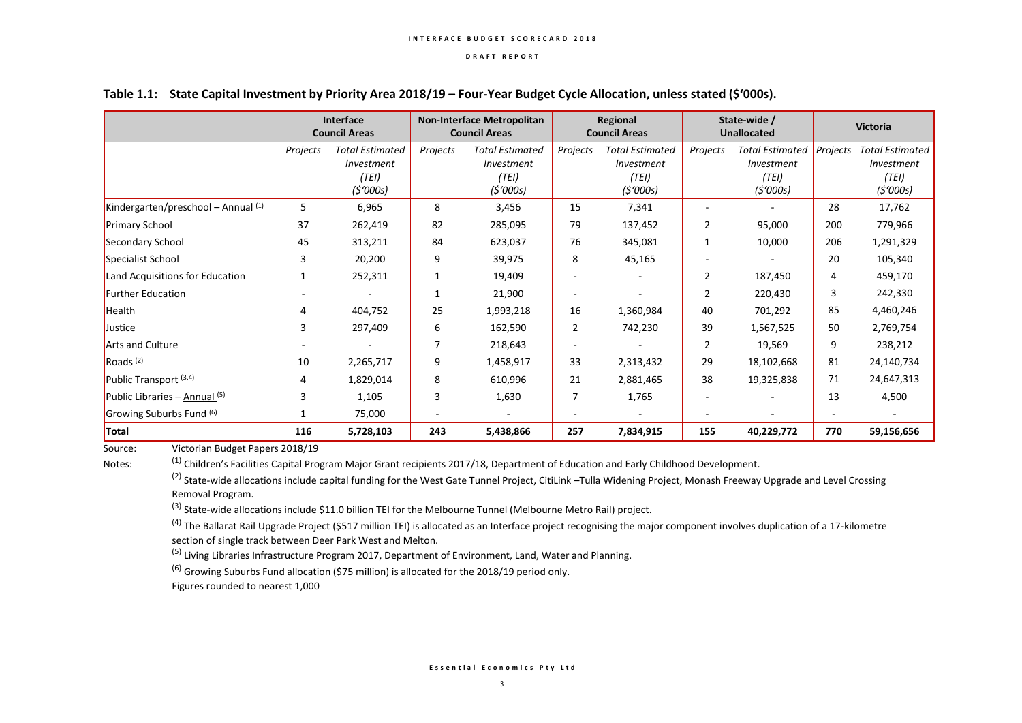|                                     |          | Interface<br><b>Council Areas</b> |          | <b>Non-Interface Metropolitan</b><br><b>Council Areas</b> |                          | Regional<br><b>Council Areas</b> |                | State-wide /<br><b>Unallocated</b> |          | <b>Victoria</b>        |  |
|-------------------------------------|----------|-----------------------------------|----------|-----------------------------------------------------------|--------------------------|----------------------------------|----------------|------------------------------------|----------|------------------------|--|
|                                     | Projects | <b>Total Estimated</b>            | Projects | <b>Total Estimated</b>                                    | Projects                 | <b>Total Estimated</b>           | Projects       | <b>Total Estimated</b>             | Projects | <b>Total Estimated</b> |  |
|                                     |          | Investment                        |          | <b>Investment</b>                                         |                          | Investment                       |                | Investment                         |          | Investment             |  |
|                                     |          | (TEI)                             |          | (TEI)                                                     |                          | (TEI)                            |                | (TEI)                              |          | (TEI)                  |  |
|                                     |          | (5'000s)                          |          | (5'000s)                                                  |                          | (5'000s)                         |                | (5'000s)                           |          | (5'000s)               |  |
| Kindergarten/preschool - Annual (1) | 5        | 6,965                             | 8        | 3,456                                                     | 15                       | 7,341                            |                |                                    | 28       | 17,762                 |  |
| <b>Primary School</b>               | 37       | 262,419                           | 82       | 285,095                                                   | 79                       | 137,452                          | 2              | 95,000                             | 200      | 779,966                |  |
| Secondary School                    | 45       | 313,211                           | 84       | 623,037                                                   | 76                       | 345,081                          | 1              | 10,000                             | 206      | 1,291,329              |  |
| Specialist School                   | 3        | 20,200                            | 9        | 39,975                                                    | 8                        | 45,165                           |                |                                    | 20       | 105,340                |  |
| Land Acquisitions for Education     |          | 252,311                           |          | 19,409                                                    |                          |                                  | $\overline{2}$ | 187,450                            | 4        | 459,170                |  |
| <b>Further Education</b>            |          |                                   |          | 21,900                                                    |                          |                                  | 2              | 220,430                            | 3        | 242,330                |  |
| Health                              | 4        | 404,752                           | 25       | 1,993,218                                                 | 16                       | 1,360,984                        | 40             | 701,292                            | 85       | 4,460,246              |  |
| Justice                             | 3        | 297,409                           | 6        | 162,590                                                   | 2                        | 742,230                          | 39             | 1,567,525                          | 50       | 2,769,754              |  |
| <b>Arts and Culture</b>             |          |                                   | 7        | 218,643                                                   | ÷                        |                                  | 2              | 19,569                             | 9        | 238,212                |  |
| Roads <sup>(2)</sup>                | 10       | 2,265,717                         | 9        | 1,458,917                                                 | 33                       | 2,313,432                        | 29             | 18,102,668                         | 81       | 24,140,734             |  |
| Public Transport <sup>(3,4)</sup>   | 4        | 1,829,014                         | 8        | 610,996                                                   | 21                       | 2,881,465                        | 38             | 19,325,838                         | 71       | 24,647,313             |  |
| Public Libraries – Annual (5)       | 3        | 1,105                             | 3        | 1,630                                                     | 7                        | 1,765                            |                |                                    | 13       | 4,500                  |  |
| Growing Suburbs Fund (6)            |          | 75,000                            |          | $\overline{\phantom{a}}$                                  | $\overline{\phantom{a}}$ | $\overline{\phantom{a}}$         |                |                                    |          |                        |  |
| Total                               | 116      | 5,728,103                         | 243      | 5,438,866                                                 | 257                      | 7,834,915                        | 155            | 40,229,772                         | 770      | 59,156,656             |  |

#### **Table 1.1: State Capital Investment by Priority Area 2018/19 – Four-Year Budget Cycle Allocation, unless stated (\$'000s).**

Source: Victorian Budget Papers 2018/19

Notes: (1) Children's Facilities Capital Program Major Grant recipients 2017/18, Department of Education and Early Childhood Development.

<sup>(2)</sup> State-wide allocations include capital funding for the West Gate Tunnel Project, CitiLink –Tulla Widening Project, Monash Freeway Upgrade and Level Crossing Removal Program.

<sup>(3)</sup> State-wide allocations include \$11.0 billion TEI for the Melbourne Tunnel (Melbourne Metro Rail) project.

 $^{(4)}$  The Ballarat Rail Upgrade Project (\$517 million TEI) is allocated as an Interface project recognising the major component involves duplication of a 17-kilometre section of single track between Deer Park West and Melton.

<sup>(5)</sup> Living Libraries Infrastructure Program 2017, Department of Environment, Land, Water and Planning.

 $(6)$  Growing Suburbs Fund allocation (\$75 million) is allocated for the 2018/19 period only.

Figures rounded to nearest 1,000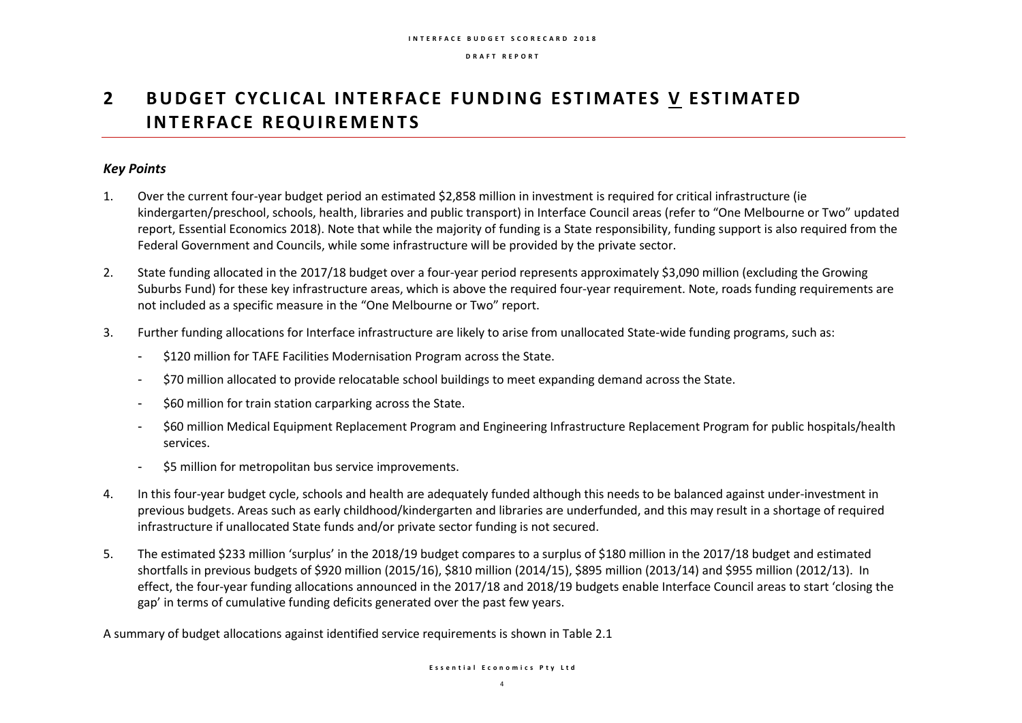## **2** BUDGET CYCLICAL INTERFACE FUNDING ESTIMATES V ESTIMATED **INTERFACE REQUIREMENTS**

### *Key Points*

- 1. Over the current four-year budget period an estimated \$2,858 million in investment is required for critical infrastructure (ie kindergarten/preschool, schools, health, libraries and public transport) in Interface Council areas (refer to "One Melbourne or Two" updated report, Essential Economics 2018). Note that while the majority of funding is a State responsibility, funding support is also required from the Federal Government and Councils, while some infrastructure will be provided by the private sector.
- 2. State funding allocated in the 2017/18 budget over a four-year period represents approximately \$3,090 million (excluding the Growing Suburbs Fund) for these key infrastructure areas, which is above the required four-year requirement. Note, roads funding requirements are not included as a specific measure in the "One Melbourne or Two" report.
- 3. Further funding allocations for Interface infrastructure are likely to arise from unallocated State-wide funding programs, such as:
	- \$120 million for TAFE Facilities Modernisation Program across the State.
	- \$70 million allocated to provide relocatable school buildings to meet expanding demand across the State.
	- \$60 million for train station carparking across the State.
	- \$60 million Medical Equipment Replacement Program and Engineering Infrastructure Replacement Program for public hospitals/health services.
	- \$5 million for metropolitan bus service improvements.
- 4. In this four-year budget cycle, schools and health are adequately funded although this needs to be balanced against under-investment in previous budgets. Areas such as early childhood/kindergarten and libraries are underfunded, and this may result in a shortage of required infrastructure if unallocated State funds and/or private sector funding is not secured.
- 5. The estimated \$233 million 'surplus' in the 2018/19 budget compares to a surplus of \$180 million in the 2017/18 budget and estimated shortfalls in previous budgets of \$920 million (2015/16), \$810 million (2014/15), \$895 million (2013/14) and \$955 million (2012/13). In effect, the four-year funding allocations announced in the 2017/18 and 2018/19 budgets enable Interface Council areas to start 'closing the gap' in terms of cumulative funding deficits generated over the past few years.

A summary of budget allocations against identified service requirements is shown in Table 2.1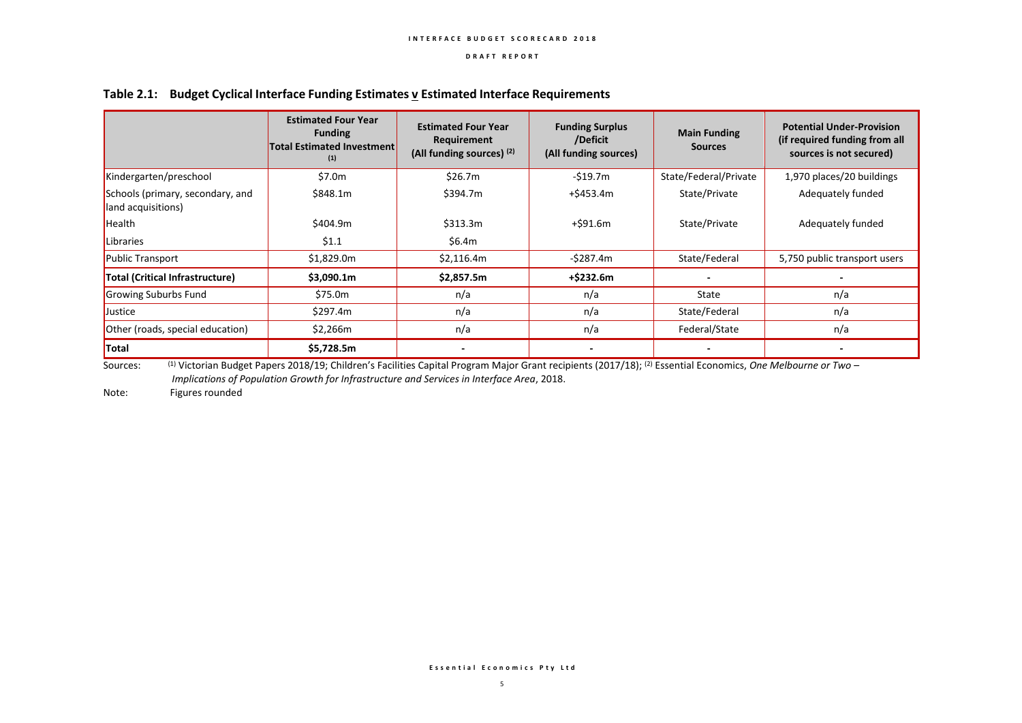|                                                        | <b>Estimated Four Year</b><br><b>Funding</b><br><b>Total Estimated Investment</b><br>(1) | <b>Estimated Four Year</b><br>Requirement<br>(All funding sources) (2) | <b>Funding Surplus</b><br>/Deficit<br>(All funding sources) | <b>Main Funding</b><br><b>Sources</b> | <b>Potential Under-Provision</b><br>(if required funding from all<br>sources is not secured) |
|--------------------------------------------------------|------------------------------------------------------------------------------------------|------------------------------------------------------------------------|-------------------------------------------------------------|---------------------------------------|----------------------------------------------------------------------------------------------|
| Kindergarten/preschool                                 | \$7.0m                                                                                   | \$26.7m                                                                | $-519.7m$                                                   | State/Federal/Private                 | 1,970 places/20 buildings                                                                    |
| Schools (primary, secondary, and<br>land acquisitions) | \$848.1m                                                                                 | \$394.7m                                                               | $+$ \$453.4m                                                | State/Private                         | Adequately funded                                                                            |
| Health                                                 | \$404.9m                                                                                 | \$313.3m                                                               | +\$91.6m                                                    | State/Private                         | Adequately funded                                                                            |
| Libraries                                              | \$1.1                                                                                    | \$6.4m                                                                 |                                                             |                                       |                                                                                              |
| <b>Public Transport</b>                                | \$1,829.0m                                                                               | \$2,116.4m                                                             | $-5287.4m$                                                  | State/Federal                         | 5,750 public transport users                                                                 |
| Total (Critical Infrastructure)                        | \$3,090.1m                                                                               | \$2,857.5m                                                             | +\$232.6m                                                   |                                       |                                                                                              |
| Growing Suburbs Fund                                   | \$75.0m                                                                                  | n/a                                                                    | n/a                                                         | State                                 | n/a                                                                                          |
| Justice                                                | \$297.4m                                                                                 | n/a                                                                    | n/a                                                         | State/Federal                         | n/a                                                                                          |
| Other (roads, special education)                       | \$2,266m                                                                                 | n/a                                                                    | n/a                                                         | Federal/State                         | n/a                                                                                          |
| Total                                                  | \$5,728.5m                                                                               |                                                                        |                                                             |                                       |                                                                                              |

#### **Table 2.1: Budget Cyclical Interface Funding Estimates v Estimated Interface Requirements**

Sources: <sup>(1)</sup> Victorian Budget Papers 2018/19; Children's Facilities Capital Program Major Grant recipients (2017/18); <sup>(2)</sup> Essential Economics, *One Melbourne or Two* – *Implications of Population Growth for Infrastructure and Services in Interface Area*, 2018.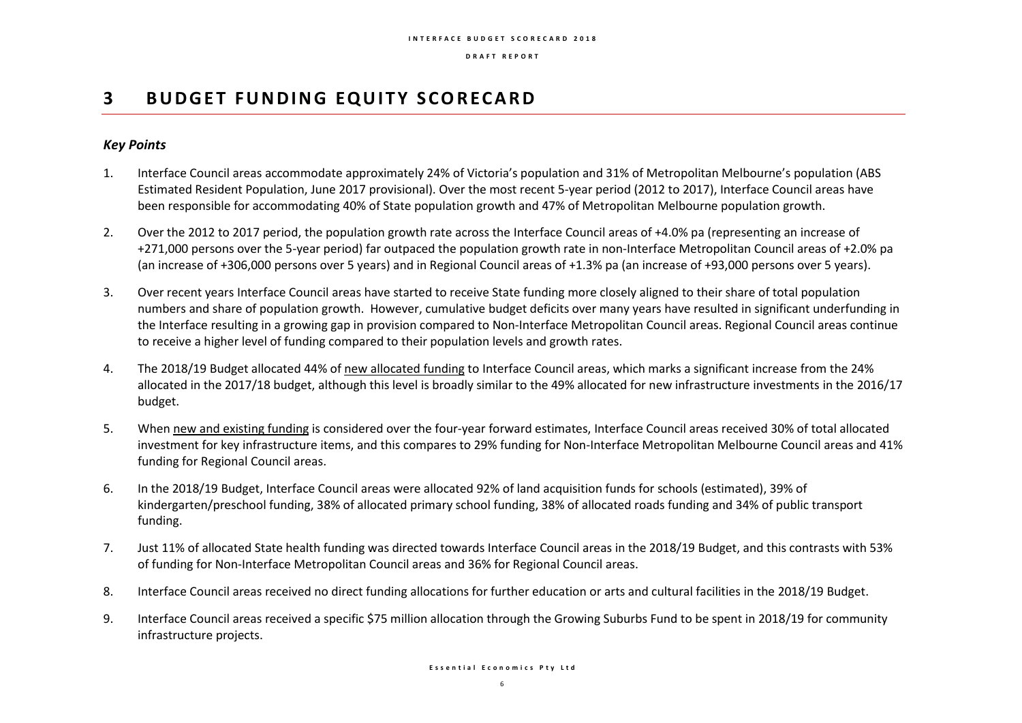## **3 BUDGET FUNDING EQUITY SCORECARD**

### *Key Points*

- 1. Interface Council areas accommodate approximately 24% of Victoria's population and 31% of Metropolitan Melbourne's population (ABS Estimated Resident Population, June 2017 provisional). Over the most recent 5-year period (2012 to 2017), Interface Council areas have been responsible for accommodating 40% of State population growth and 47% of Metropolitan Melbourne population growth.
- 2. Over the 2012 to 2017 period, the population growth rate across the Interface Council areas of +4.0% pa (representing an increase of +271,000 persons over the 5-year period) far outpaced the population growth rate in non-Interface Metropolitan Council areas of +2.0% pa (an increase of +306,000 persons over 5 years) and in Regional Council areas of +1.3% pa (an increase of +93,000 persons over 5 years).
- 3. Over recent years Interface Council areas have started to receive State funding more closely aligned to their share of total population numbers and share of population growth. However, cumulative budget deficits over many years have resulted in significant underfunding in the Interface resulting in a growing gap in provision compared to Non-Interface Metropolitan Council areas. Regional Council areas continue to receive a higher level of funding compared to their population levels and growth rates.
- 4. The 2018/19 Budget allocated 44% of new allocated funding to Interface Council areas, which marks a significant increase from the 24% allocated in the 2017/18 budget, although this level is broadly similar to the 49% allocated for new infrastructure investments in the 2016/17 budget.
- 5. When new and existing funding is considered over the four-year forward estimates, Interface Council areas received 30% of total allocated investment for key infrastructure items, and this compares to 29% funding for Non-Interface Metropolitan Melbourne Council areas and 41% funding for Regional Council areas.
- 6. In the 2018/19 Budget, Interface Council areas were allocated 92% of land acquisition funds for schools (estimated), 39% of kindergarten/preschool funding, 38% of allocated primary school funding, 38% of allocated roads funding and 34% of public transport funding.
- 7. Just 11% of allocated State health funding was directed towards Interface Council areas in the 2018/19 Budget, and this contrasts with 53% of funding for Non-Interface Metropolitan Council areas and 36% for Regional Council areas.
- 8. Interface Council areas received no direct funding allocations for further education or arts and cultural facilities in the 2018/19 Budget.
- 9. Interface Council areas received a specific \$75 million allocation through the Growing Suburbs Fund to be spent in 2018/19 for community infrastructure projects.

**E s s e n t i a l E c o n o m i c s P t y L t d**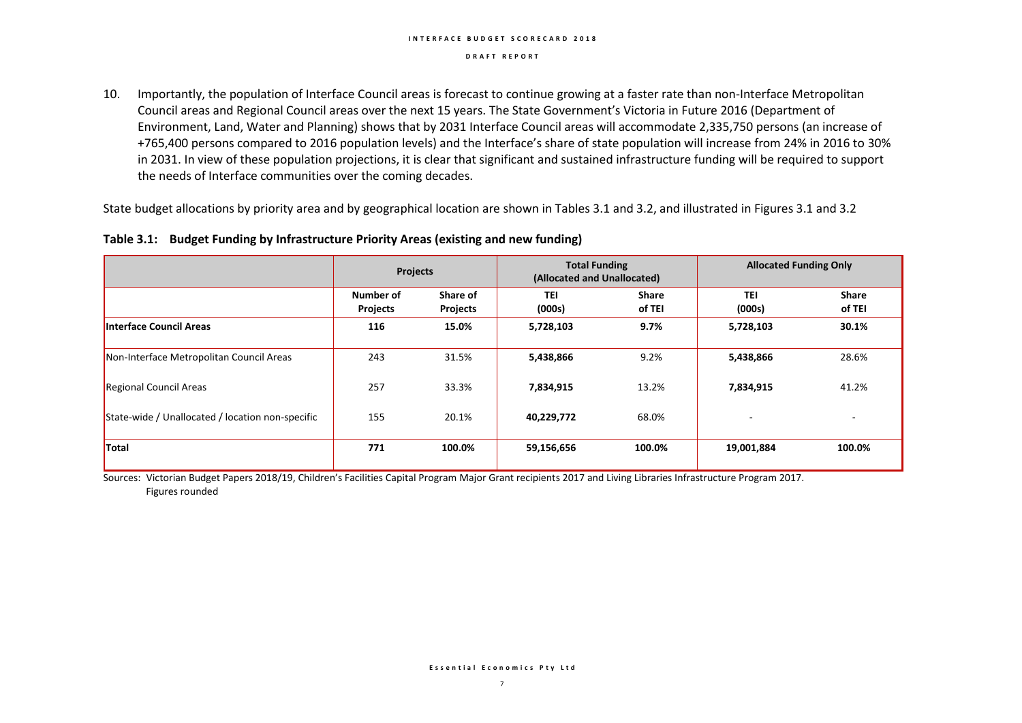#### **I N T E R F A C E B U D G E T S C O R E C A R D 2 0 1 8**

#### **D R A F T R E P O R T**

10. Importantly, the population of Interface Council areas is forecast to continue growing at a faster rate than non-Interface Metropolitan Council areas and Regional Council areas over the next 15 years. The State Government's Victoria in Future 2016 (Department of Environment, Land, Water and Planning) shows that by 2031 Interface Council areas will accommodate 2,335,750 persons (an increase of +765,400 persons compared to 2016 population levels) and the Interface's share of state population will increase from 24% in 2016 to 30% in 2031. In view of these population projections, it is clear that significant and sustained infrastructure funding will be required to support the needs of Interface communities over the coming decades.

State budget allocations by priority area and by geographical location are shown in Tables 3.1 and 3.2, and illustrated in Figures 3.1 and 3.2

|  |  | Table 3.1: Budget Funding by Infrastructure Priority Areas (existing and new funding) |  |
|--|--|---------------------------------------------------------------------------------------|--|
|--|--|---------------------------------------------------------------------------------------|--|

|                                                  | <b>Projects</b>              |                      | <b>Total Funding</b><br>(Allocated and Unallocated) |                        | <b>Allocated Funding Only</b> |                        |  |
|--------------------------------------------------|------------------------------|----------------------|-----------------------------------------------------|------------------------|-------------------------------|------------------------|--|
|                                                  | Number of<br><b>Projects</b> | Share of<br>Projects | <b>TEI</b><br>(000s)                                | <b>Share</b><br>of TEI | <b>TEI</b><br>(000s)          | <b>Share</b><br>of TEI |  |
| Interface Council Areas                          | 116                          | 15.0%                | 5,728,103                                           | 9.7%                   | 5,728,103                     | 30.1%                  |  |
| Non-Interface Metropolitan Council Areas         | 243                          | 31.5%                | 5,438,866                                           | 9.2%                   | 5,438,866                     | 28.6%                  |  |
| <b>Regional Council Areas</b>                    | 257                          | 33.3%                | 7,834,915                                           | 13.2%                  | 7,834,915                     | 41.2%                  |  |
| State-wide / Unallocated / location non-specific | 155                          | 20.1%                | 40,229,772                                          | 68.0%                  | $\overline{a}$                | ۰                      |  |
| <b>Total</b>                                     | 771                          | 100.0%               | 59,156,656                                          | 100.0%                 | 19,001,884                    | 100.0%                 |  |

Sources: Victorian Budget Papers 2018/19, Children's Facilities Capital Program Major Grant recipients 2017 and Living Libraries Infrastructure Program 2017. Figures rounded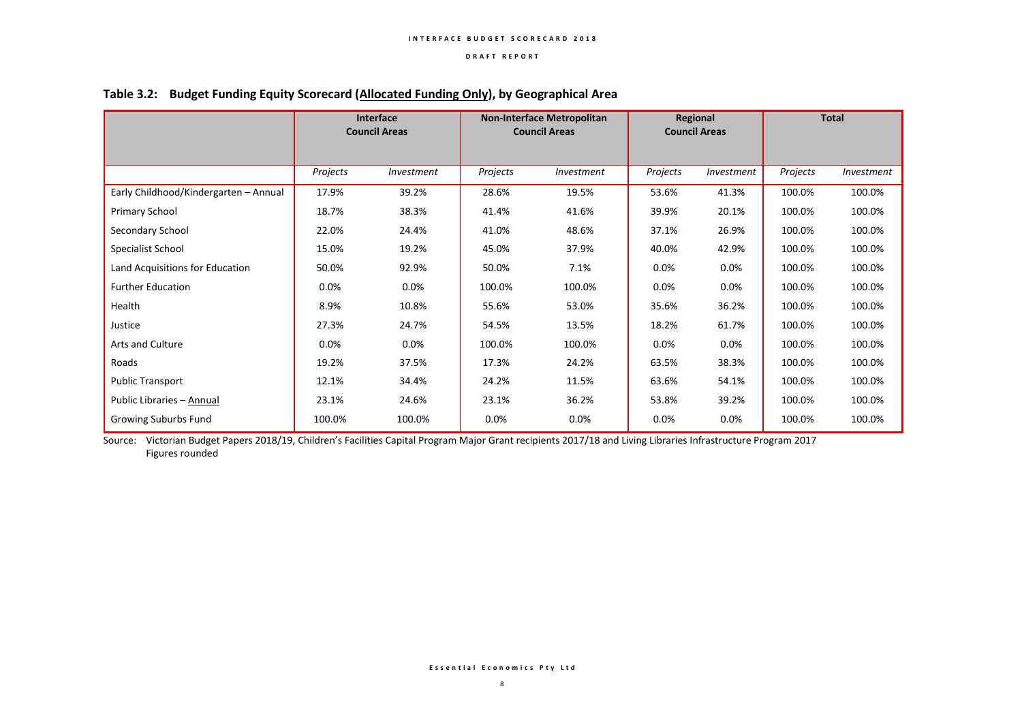|                                       | <b>Interface</b><br><b>Council Areas</b> |            | <b>Non-Interface Metropolitan</b><br><b>Council Areas</b> |            | Regional<br><b>Council Areas</b> |            | <b>Total</b> |            |
|---------------------------------------|------------------------------------------|------------|-----------------------------------------------------------|------------|----------------------------------|------------|--------------|------------|
|                                       | Projects                                 | Investment | Projects                                                  | Investment | Projects                         | Investment | Projects     | Investment |
| Early Childhood/Kindergarten - Annual | 17.9%                                    | 39.2%      | 28.6%                                                     | 19.5%      | 53.6%                            | 41.3%      | 100.0%       | 100.0%     |
| Primary School                        | 18.7%                                    | 38.3%      | 41.4%                                                     | 41.6%      | 39.9%                            | 20.1%      | 100.0%       | 100.0%     |
| Secondary School                      | 22.0%                                    | 24.4%      | 41.0%                                                     | 48.6%      | 37.1%                            | 26.9%      | 100.0%       | 100.0%     |
| Specialist School                     | 15.0%                                    | 19.2%      | 45.0%                                                     | 37.9%      | 40.0%                            | 42.9%      | 100.0%       | 100.0%     |
| Land Acquisitions for Education       | 50.0%                                    | 92.9%      | 50.0%                                                     | 7.1%       | 0.0%                             | 0.0%       | 100.0%       | 100.0%     |
| <b>Further Education</b>              | $0.0\%$                                  | $0.0\%$    | 100.0%                                                    | 100.0%     | 0.0%                             | 0.0%       | 100.0%       | 100.0%     |
| Health                                | 8.9%                                     | 10.8%      | 55.6%                                                     | 53.0%      | 35.6%                            | 36.2%      | 100.0%       | 100.0%     |
| Justice                               | 27.3%                                    | 24.7%      | 54.5%                                                     | 13.5%      | 18.2%                            | 61.7%      | 100.0%       | 100.0%     |
| Arts and Culture                      | $0.0\%$                                  | $0.0\%$    | 100.0%                                                    | 100.0%     | 0.0%                             | 0.0%       | 100.0%       | 100.0%     |
| Roads                                 | 19.2%                                    | 37.5%      | 17.3%                                                     | 24.2%      | 63.5%                            | 38.3%      | 100.0%       | 100.0%     |
| <b>Public Transport</b>               | 12.1%                                    | 34.4%      | 24.2%                                                     | 11.5%      | 63.6%                            | 54.1%      | 100.0%       | 100.0%     |
| Public Libraries - Annual             | 23.1%                                    | 24.6%      | 23.1%                                                     | 36.2%      | 53.8%                            | 39.2%      | 100.0%       | 100.0%     |
| Growing Suburbs Fund                  | 100.0%                                   | 100.0%     | 0.0%                                                      | 0.0%       | 0.0%                             | 0.0%       | 100.0%       | 100.0%     |

## **Table 3.2: Budget Funding Equity Scorecard (Allocated Funding Only), by Geographical Area**

Source: Victorian Budget Papers 2018/19, Children's Facilities Capital Program Major Grant recipients 2017/18 and Living Libraries Infrastructure Program 2017 Figures rounded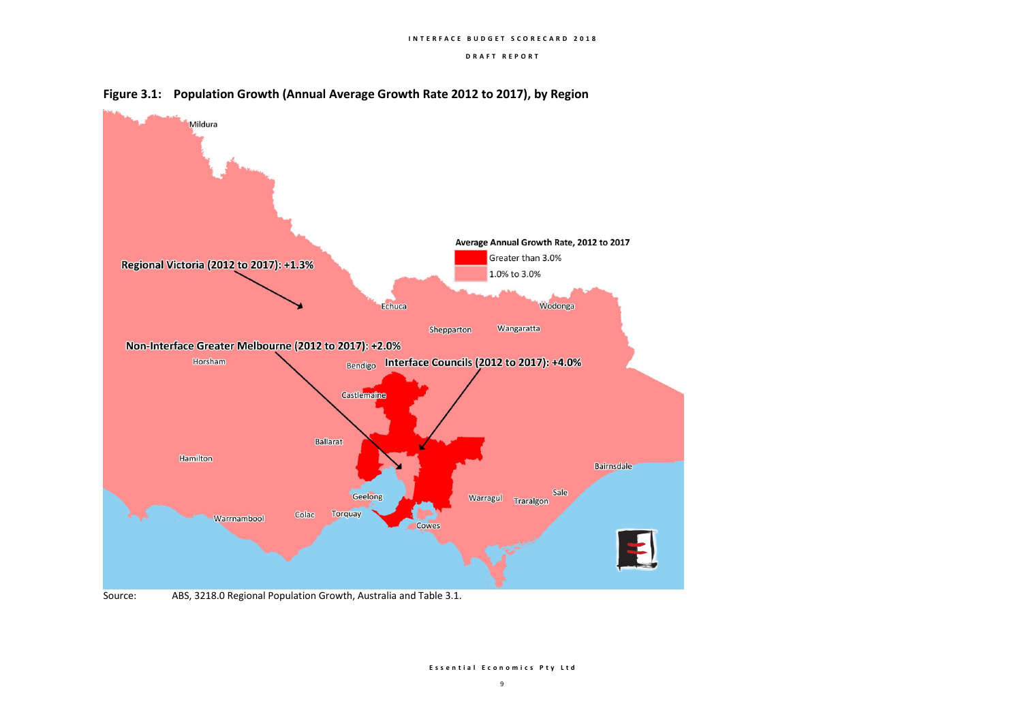



Source: ABS, 3218.0 Regional Population Growth, Australia and Table 3.1.

**E s s e n t i a l E c o n o m i c s P t y L t d**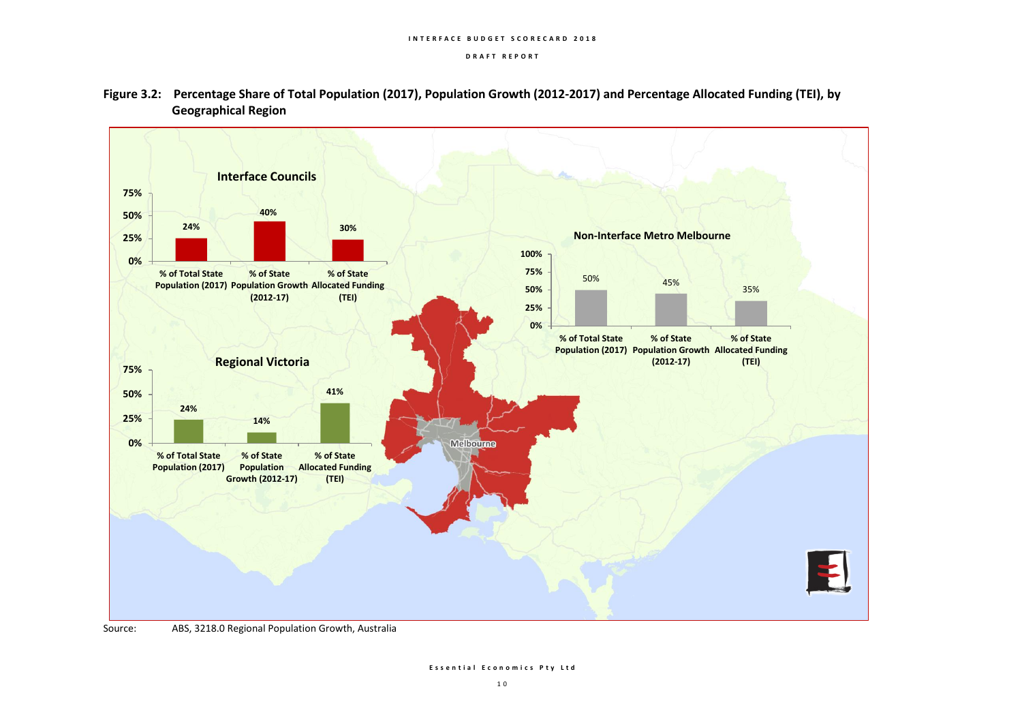



Source: ABS, 3218.0 Regional Population Growth, Australia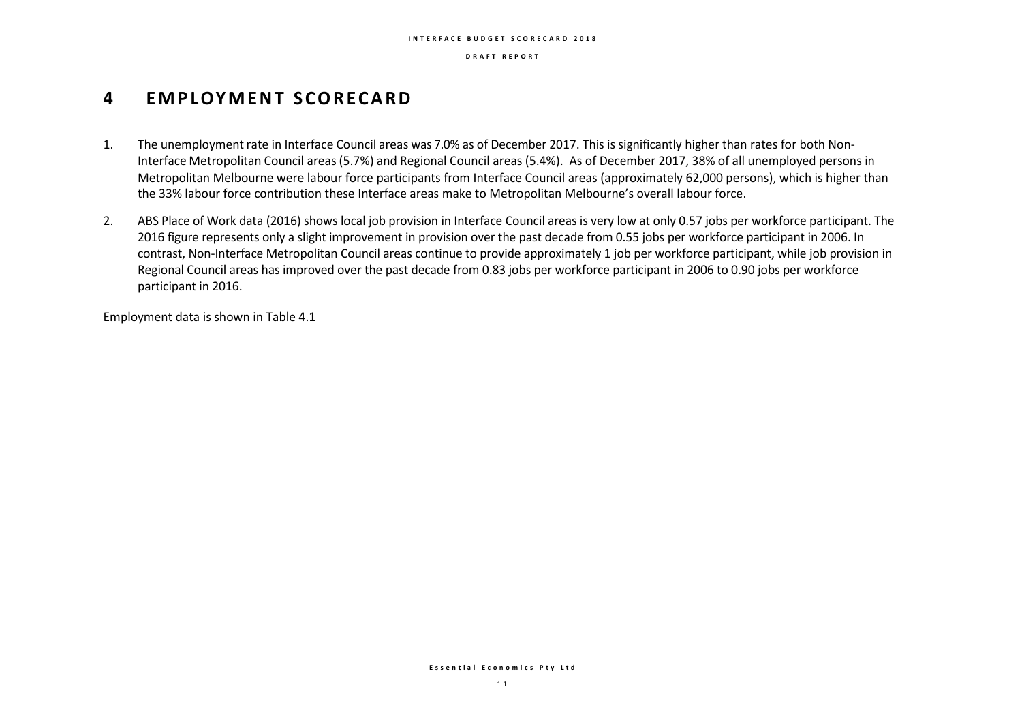## **4 EM P LOY M E N T S C O R E C A R D**

- 1. The unemployment rate in Interface Council areas was 7.0% as of December 2017. This is significantly higher than rates for both Non-Interface Metropolitan Council areas (5.7%) and Regional Council areas (5.4%). As of December 2017, 38% of all unemployed persons in Metropolitan Melbourne were labour force participants from Interface Council areas (approximately 62,000 persons), which is higher than the 33% labour force contribution these Interface areas make to Metropolitan Melbourne's overall labour force.
- 2. ABS Place of Work data (2016) shows local job provision in Interface Council areas is very low at only 0.57 jobs per workforce participant. The 2016 figure represents only a slight improvement in provision over the past decade from 0.55 jobs per workforce participant in 2006. In contrast, Non-Interface Metropolitan Council areas continue to provide approximately 1 job per workforce participant, while job provision in Regional Council areas has improved over the past decade from 0.83 jobs per workforce participant in 2006 to 0.90 jobs per workforce participant in 2016.

Employment data is shown in Table 4.1

**E s s e n t i a l E c o n o m i c s P t y L t d**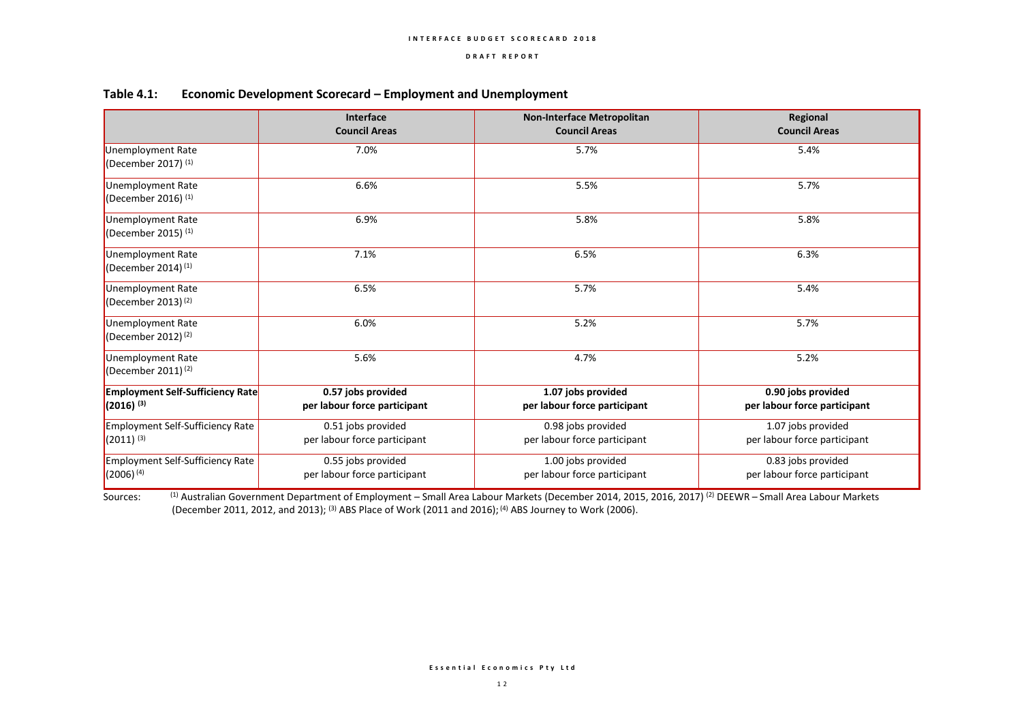|                                                            | Interface<br><b>Council Areas</b>                  | <b>Non-Interface Metropolitan</b><br><b>Council Areas</b> | Regional<br><b>Council Areas</b>                   |
|------------------------------------------------------------|----------------------------------------------------|-----------------------------------------------------------|----------------------------------------------------|
| Unemployment Rate<br>(December 2017) $(1)$                 | 7.0%                                               | 5.7%                                                      | 5.4%                                               |
| Unemployment Rate<br>(December 2016) $(1)$                 | 6.6%                                               | 5.5%                                                      | 5.7%                                               |
| Unemployment Rate<br>(December 2015) $(1)$                 | 6.9%                                               | 5.8%                                                      | 5.8%                                               |
| <b>Unemployment Rate</b><br>(December 2014) $(1)$          | 7.1%                                               | 6.5%                                                      | 6.3%                                               |
| Unemployment Rate<br>(December 2013) $(2)$                 | 6.5%                                               | 5.7%                                                      | 5.4%                                               |
| <b>Unemployment Rate</b><br>(December 2012) <sup>(2)</sup> | 6.0%                                               | 5.2%                                                      | 5.7%                                               |
| Unemployment Rate<br>(December 2011) <sup>(2)</sup>        | 5.6%                                               | 4.7%                                                      | 5.2%                                               |
| <b>Employment Self-Sufficiency Rate</b><br>$(2016)^{(3)}$  | 0.57 jobs provided<br>per labour force participant | 1.07 jobs provided<br>per labour force participant        | 0.90 jobs provided<br>per labour force participant |
| Employment Self-Sufficiency Rate<br>$(2011)^{(3)}$         | 0.51 jobs provided<br>per labour force participant | 0.98 jobs provided<br>per labour force participant        | 1.07 jobs provided<br>per labour force participant |
| <b>Employment Self-Sufficiency Rate</b><br>$(2006)^{(4)}$  | 0.55 jobs provided<br>per labour force participant | 1.00 jobs provided<br>per labour force participant        | 0.83 jobs provided<br>per labour force participant |

#### **Table 4.1: Economic Development Scorecard – Employment and Unemployment**

Sources: <sup>(1)</sup> Australian Government Department of Employment – Small Area Labour Markets (December 2014, 2015, 2016, 2017)<sup>(2)</sup> DEEWR – Small Area Labour Markets (December 2011, 2012, and 2013); (3) ABS Place of Work (2011 and 2016); (4) ABS Journey to Work (2006).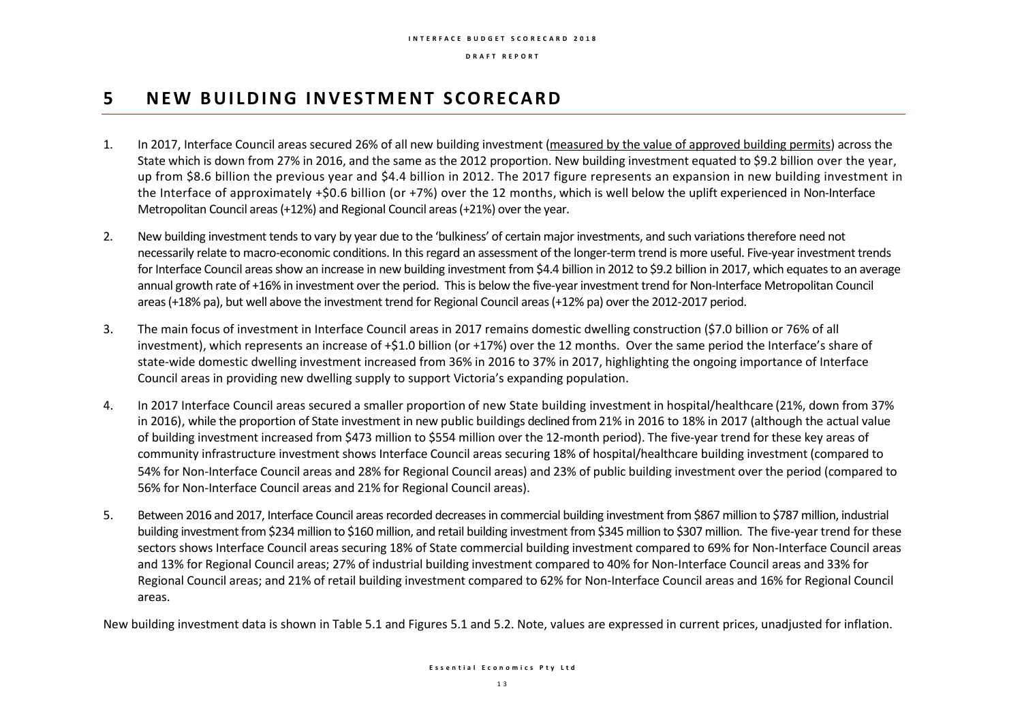## **5 N E W B U I L D I N G I N V E S T M E N T S C O R E C A R D**

- 1. In 2017, Interface Council areas secured 26% of all new building investment (measured by the value of approved building permits) across the State which is down from 27% in 2016, and the same as the 2012 proportion. New building investment equated to \$9.2 billion over the year, up from \$8.6 billion the previous year and \$4.4 billion in 2012. The 2017 figure represents an expansion in new building investment in the Interface of approximately +\$0.6 billion (or +7%) over the 12 months, which is well below the uplift experienced in Non-Interface Metropolitan Council areas (+12%) and Regional Council areas (+21%) over the year.
- 2. New building investment tends to vary by year due to the 'bulkiness' of certain major investments, and such variations therefore need not necessarily relate to macro-economic conditions. In this regard an assessment of the longer-term trend is more useful. Five-year investment trends for Interface Council areas show an increase in new building investment from \$4.4 billion in 2012 to \$9.2 billion in 2017, which equates to an average annual growth rate of +16% in investment over the period. This is below the five-year investment trend for Non-Interface Metropolitan Council areas (+18% pa), but well above the investment trend for Regional Council areas (+12% pa) over the 2012-2017 period.
- 3. The main focus of investment in Interface Council areas in 2017 remains domestic dwelling construction (\$7.0 billion or 76% of all investment), which represents an increase of +\$1.0 billion (or +17%) over the 12 months. Over the same period the Interface's share of state-wide domestic dwelling investment increased from 36% in 2016 to 37% in 2017, highlighting the ongoing importance of Interface Council areas in providing new dwelling supply to support Victoria's expanding population.
- 4. In 2017 Interface Council areas secured a smaller proportion of new State building investment in hospital/healthcare (21%, down from 37% in 2016), while the proportion of State investment in new public buildings declined from 21% in 2016 to 18% in 2017 (although the actual value of building investment increased from \$473 million to \$554 million over the 12-month period). The five-year trend for these key areas of community infrastructure investment shows Interface Council areas securing 18% of hospital/healthcare building investment (compared to 54% for Non-Interface Council areas and 28% for Regional Council areas) and 23% of public building investment over the period (compared to 56% for Non-Interface Council areas and 21% for Regional Council areas).
- 5. Between 2016 and 2017, Interface Council areas recorded decreases in commercial building investment from \$867 million to \$787 million, industrial building investment from \$234 million to \$160 million, and retail building investment from \$345 million to \$307 million. The five-year trend for these sectors shows Interface Council areas securing 18% of State commercial building investment compared to 69% for Non-Interface Council areas and 13% for Regional Council areas; 27% of industrial building investment compared to 40% for Non-Interface Council areas and 33% for Regional Council areas; and 21% of retail building investment compared to 62% for Non-Interface Council areas and 16% for Regional Council areas.

New building investment data is shown in Table 5.1 and Figures 5.1 and 5.2. Note, values are expressed in current prices, unadjusted for inflation.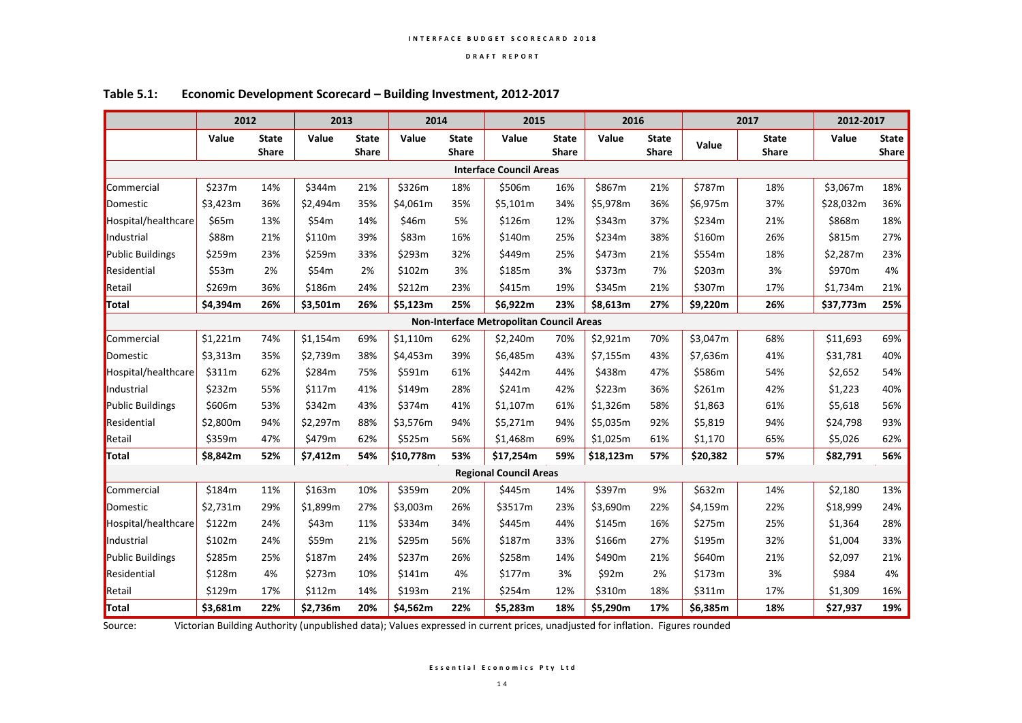|                         | 2012                           |                              | 2013     |                              | 2014      |                              | 2015                                     |                              | 2016      |                              |          | 2017                         | 2012-2017 |                              |
|-------------------------|--------------------------------|------------------------------|----------|------------------------------|-----------|------------------------------|------------------------------------------|------------------------------|-----------|------------------------------|----------|------------------------------|-----------|------------------------------|
|                         | Value                          | <b>State</b><br><b>Share</b> | Value    | <b>State</b><br><b>Share</b> | Value     | <b>State</b><br><b>Share</b> | Value                                    | <b>State</b><br><b>Share</b> | Value     | <b>State</b><br><b>Share</b> | Value    | <b>State</b><br><b>Share</b> | Value     | <b>State</b><br><b>Share</b> |
|                         | <b>Interface Council Areas</b> |                              |          |                              |           |                              |                                          |                              |           |                              |          |                              |           |                              |
| Commercial              | \$237m                         | 14%                          | \$344m   | 21%                          | \$326m    | 18%                          | \$506m                                   | 16%                          | \$867m    | 21%                          | \$787m   | 18%                          | \$3,067m  | 18%                          |
| Domestic                | \$3,423m                       | 36%                          | \$2,494m | 35%                          | \$4,061m  | 35%                          | \$5,101m                                 | 34%                          | \$5,978m  | 36%                          | \$6,975m | 37%                          | \$28,032m | 36%                          |
| Hospital/healthcare     | \$65m                          | 13%                          | \$54m    | 14%                          | \$46m     | 5%                           | \$126m                                   | 12%                          | \$343m    | 37%                          | \$234m   | 21%                          | \$868m    | 18%                          |
| Industrial              | \$88m                          | 21%                          | \$110m   | 39%                          | \$83m     | 16%                          | \$140m                                   | 25%                          | \$234m    | 38%                          | \$160m   | 26%                          | \$815m    | 27%                          |
| <b>Public Buildings</b> | \$259m                         | 23%                          | \$259m   | 33%                          | \$293m    | 32%                          | \$449m                                   | 25%                          | \$473m    | 21%                          | \$554m   | 18%                          | \$2,287m  | 23%                          |
| Residential             | \$53m                          | 2%                           | \$54m    | 2%                           | \$102m    | 3%                           | \$185m                                   | 3%                           | \$373m    | 7%                           | \$203m   | 3%                           | \$970m    | 4%                           |
| Retail                  | \$269m                         | 36%                          | \$186m   | 24%                          | \$212m    | 23%                          | \$415m                                   | 19%                          | \$345m    | 21%                          | \$307m   | 17%                          | \$1,734m  | 21%                          |
| Total                   | \$4,394m                       | 26%                          | \$3,501m | 26%                          | \$5,123m  | 25%                          | \$6,922m                                 | 23%                          | \$8,613m  | 27%                          | \$9,220m | 26%                          | \$37,773m | 25%                          |
|                         |                                |                              |          |                              |           |                              | Non-Interface Metropolitan Council Areas |                              |           |                              |          |                              |           |                              |
| Commercial              | \$1,221m                       | 74%                          | \$1,154m | 69%                          | \$1,110m  | 62%                          | \$2,240m                                 | 70%                          | \$2,921m  | 70%                          | \$3,047m | 68%                          | \$11,693  | 69%                          |
| Domestic                | \$3,313m                       | 35%                          | \$2,739m | 38%                          | \$4,453m  | 39%                          | \$6,485m                                 | 43%                          | \$7,155m  | 43%                          | \$7,636m | 41%                          | \$31,781  | 40%                          |
| Hospital/healthcare     | \$311m                         | 62%                          | \$284m   | 75%                          | \$591m    | 61%                          | \$442m                                   | 44%                          | \$438m    | 47%                          | \$586m   | 54%                          | \$2,652   | 54%                          |
| Industrial              | \$232m                         | 55%                          | \$117m   | 41%                          | \$149m    | 28%                          | \$241m                                   | 42%                          | \$223m    | 36%                          | \$261m   | 42%                          | \$1,223   | 40%                          |
| <b>Public Buildings</b> | \$606m                         | 53%                          | \$342m   | 43%                          | \$374m    | 41%                          | \$1,107m                                 | 61%                          | \$1,326m  | 58%                          | \$1,863  | 61%                          | \$5,618   | 56%                          |
| Residential             | \$2,800m                       | 94%                          | \$2,297m | 88%                          | \$3,576m  | 94%                          | \$5,271m                                 | 94%                          | \$5,035m  | 92%                          | \$5,819  | 94%                          | \$24,798  | 93%                          |
| Retail                  | \$359m                         | 47%                          | \$479m   | 62%                          | \$525m    | 56%                          | \$1,468m                                 | 69%                          | \$1,025m  | 61%                          | \$1,170  | 65%                          | \$5,026   | 62%                          |
| Total                   | \$8,842m                       | 52%                          | \$7,412m | 54%                          | \$10,778m | 53%                          | \$17,254m                                | 59%                          | \$18,123m | 57%                          | \$20,382 | 57%                          | \$82,791  | 56%                          |
|                         |                                |                              |          |                              |           |                              | <b>Regional Council Areas</b>            |                              |           |                              |          |                              |           |                              |
| Commercial              | \$184m                         | 11%                          | \$163m   | 10%                          | \$359m    | 20%                          | \$445m                                   | 14%                          | \$397m    | 9%                           | \$632m   | 14%                          | \$2,180   | 13%                          |
| Domestic                | \$2,731m                       | 29%                          | \$1,899m | 27%                          | \$3,003m  | 26%                          | \$3517m                                  | 23%                          | \$3,690m  | 22%                          | \$4,159m | 22%                          | \$18,999  | 24%                          |
| Hospital/healthcare     | \$122m                         | 24%                          | \$43m    | 11%                          | \$334m    | 34%                          | \$445m                                   | 44%                          | \$145m    | 16%                          | \$275m   | 25%                          | \$1,364   | 28%                          |
| Industrial              | \$102m                         | 24%                          | \$59m    | 21%                          | \$295m    | 56%                          | \$187m                                   | 33%                          | \$166m    | 27%                          | \$195m   | 32%                          | \$1,004   | 33%                          |
| Public Buildings        | \$285m                         | 25%                          | \$187m   | 24%                          | \$237m    | 26%                          | \$258m                                   | 14%                          | \$490m    | 21%                          | \$640m   | 21%                          | \$2,097   | 21%                          |
| Residential             | \$128m                         | 4%                           | \$273m   | 10%                          | \$141m    | 4%                           | \$177m                                   | 3%                           | \$92m     | 2%                           | \$173m   | 3%                           | \$984     | 4%                           |
| Retail                  | \$129m                         | 17%                          | \$112m   | 14%                          | \$193m    | 21%                          | \$254m                                   | 12%                          | \$310m    | 18%                          | \$311m   | 17%                          | \$1,309   | 16%                          |
| Total                   | \$3,681m                       | 22%                          | \$2,736m | 20%                          | \$4,562m  | 22%                          | \$5,283m                                 | 18%                          | \$5,290m  | 17%                          | \$6,385m | 18%                          | \$27,937  | 19%                          |

#### **Table 5.1: Economic Development Scorecard – Building Investment, 2012-2017**

Source: Victorian Building Authority (unpublished data); Values expressed in current prices, unadjusted for inflation. Figures rounded

**E s s e n t i a l E c o n o m i c s P t y L t d**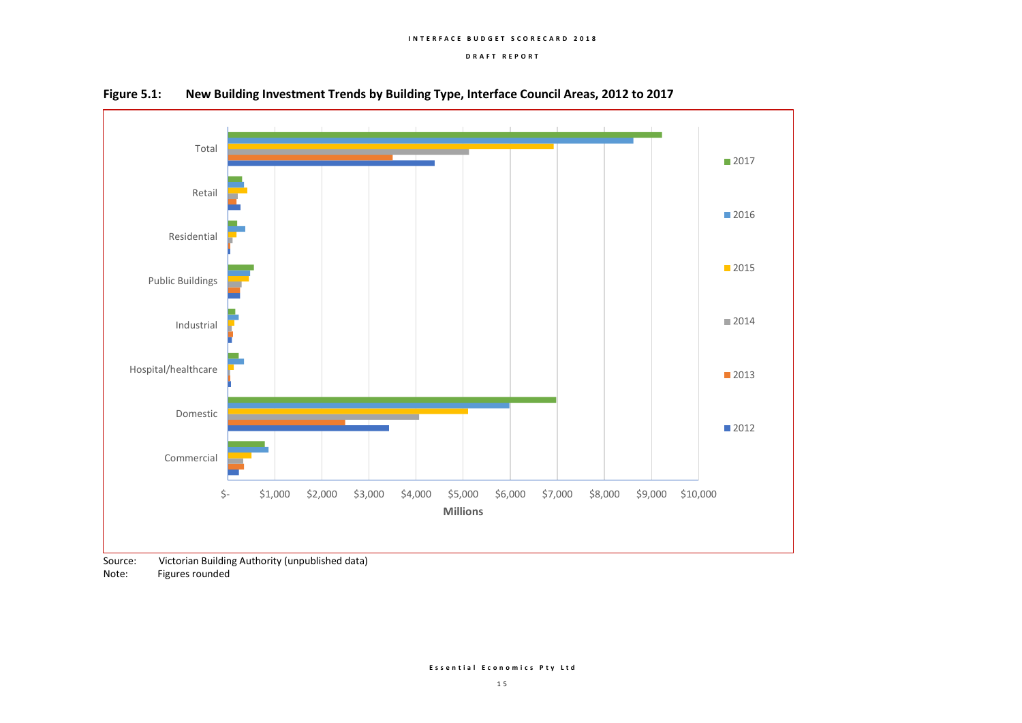#### **I N T E R F A C E B U D G E T S C O R E C A R D 2 0 1 8**

#### **D R A F T R E P O R T**



**Figure 5.1: New Building Investment Trends by Building Type, Interface Council Areas, 2012 to 2017**

Source: Victorian Building Authority (unpublished data)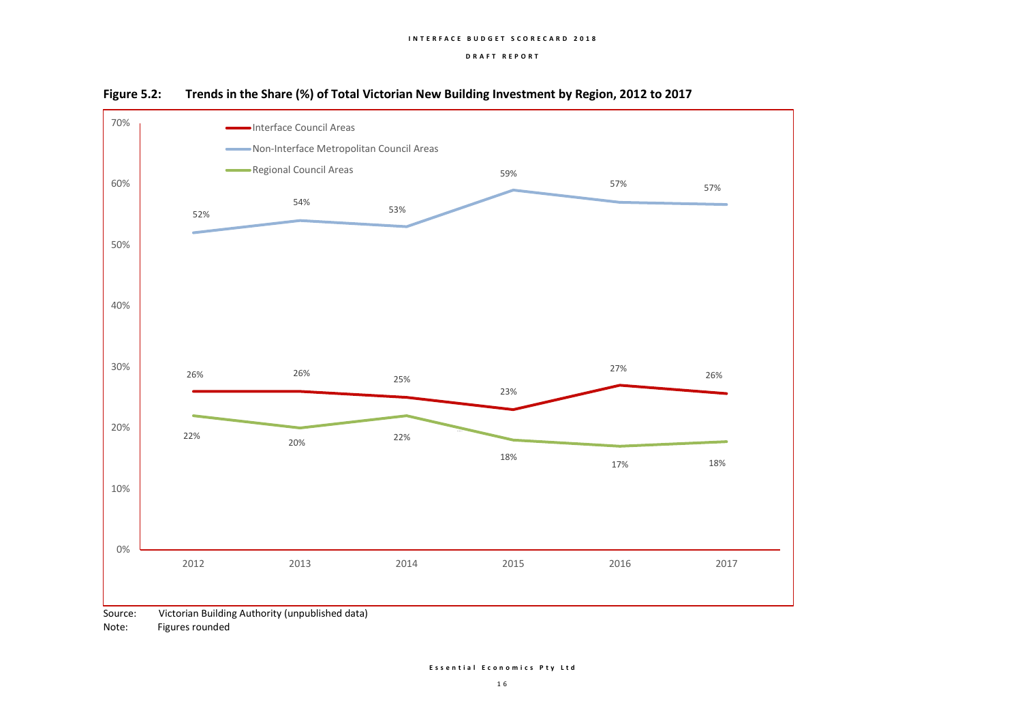#### **I N T E R F A C E B U D G E T S C O R E C A R D 2 0 1 8**

#### **D R A F T R E P O R T**



**Figure 5.2: Trends in the Share (%) of Total Victorian New Building Investment by Region, 2012 to 2017**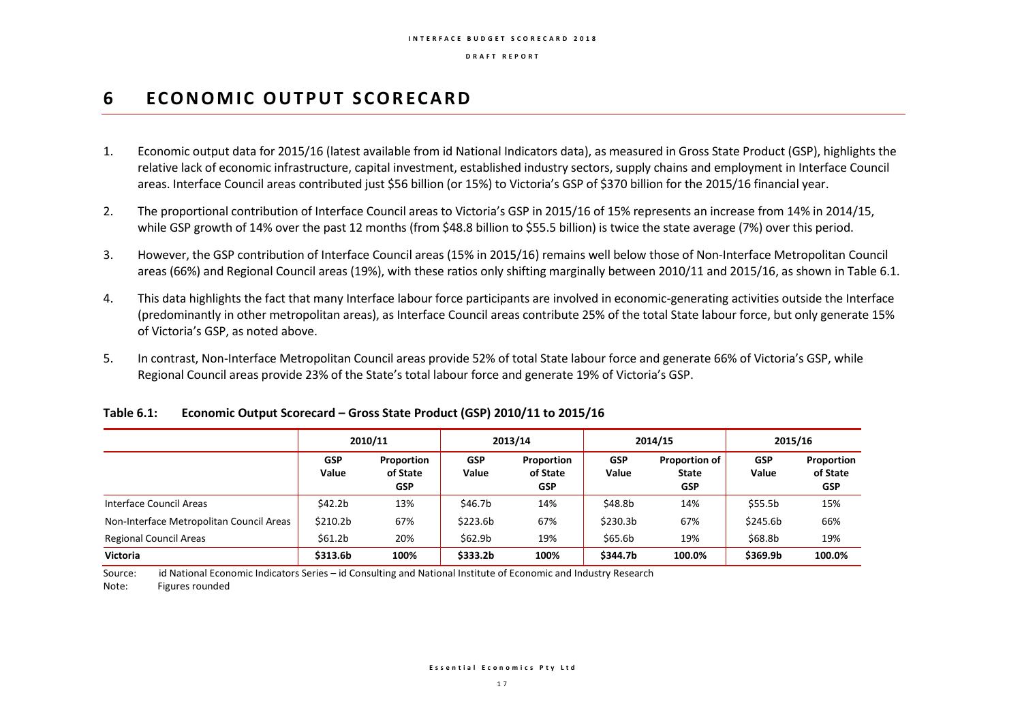## **6 ECONOMIC OUTPUT SCORECARD**

- 1. Economic output data for 2015/16 (latest available from id National Indicators data), as measured in Gross State Product (GSP), highlights the relative lack of economic infrastructure, capital investment, established industry sectors, supply chains and employment in Interface Council areas. Interface Council areas contributed just \$56 billion (or 15%) to Victoria's GSP of \$370 billion for the 2015/16 financial year.
- 2. The proportional contribution of Interface Council areas to Victoria's GSP in 2015/16 of 15% represents an increase from 14% in 2014/15, while GSP growth of 14% over the past 12 months (from \$48.8 billion to \$55.5 billion) is twice the state average (7%) over this period.
- 3. However, the GSP contribution of Interface Council areas (15% in 2015/16) remains well below those of Non-Interface Metropolitan Council areas (66%) and Regional Council areas (19%), with these ratios only shifting marginally between 2010/11 and 2015/16, as shown in Table 6.1.
- 4. This data highlights the fact that many Interface labour force participants are involved in economic-generating activities outside the Interface (predominantly in other metropolitan areas), as Interface Council areas contribute 25% of the total State labour force, but only generate 15% of Victoria's GSP, as noted above.
- 5. In contrast, Non-Interface Metropolitan Council areas provide 52% of total State labour force and generate 66% of Victoria's GSP, while Regional Council areas provide 23% of the State's total labour force and generate 19% of Victoria's GSP.

|                                          | 2010/11              |                                      | 2013/14             |                                      |                      | 2014/15                                            | 2015/16             |                                      |
|------------------------------------------|----------------------|--------------------------------------|---------------------|--------------------------------------|----------------------|----------------------------------------------------|---------------------|--------------------------------------|
|                                          | <b>GSP</b><br>Value  | Proportion<br>of State<br><b>GSP</b> | <b>GSP</b><br>Value | Proportion<br>of State<br><b>GSP</b> | <b>GSP</b><br>Value  | <b>Proportion of</b><br><b>State</b><br><b>GSP</b> | <b>GSP</b><br>Value | Proportion<br>of State<br><b>GSP</b> |
| Interface Council Areas                  | \$42.2b              | 13%                                  | \$46.7b             | 14%                                  | \$48.8b              | 14%                                                | \$55.5b             | 15%                                  |
| Non-Interface Metropolitan Council Areas | \$210.2 <sub>b</sub> | 67%                                  | \$223.6b            | 67%                                  | \$230.3 <sub>b</sub> | 67%                                                | \$245.6b            | 66%                                  |
| <b>Regional Council Areas</b>            | \$61.2 <sub>b</sub>  | 20%                                  | \$62.9 <sub>b</sub> | 19%                                  | \$65.6b              | 19%                                                | \$68.8b             | 19%                                  |
| <b>Victoria</b>                          | \$313.6b             | 100%                                 | \$333.2b            | 100%                                 | \$344.7b             | 100.0%                                             | \$369.9b            | 100.0%                               |

#### **Table 6.1: Economic Output Scorecard – Gross State Product (GSP) 2010/11 to 2015/16**

Source: id National Economic Indicators Series – id Consulting and National Institute of Economic and Industry Research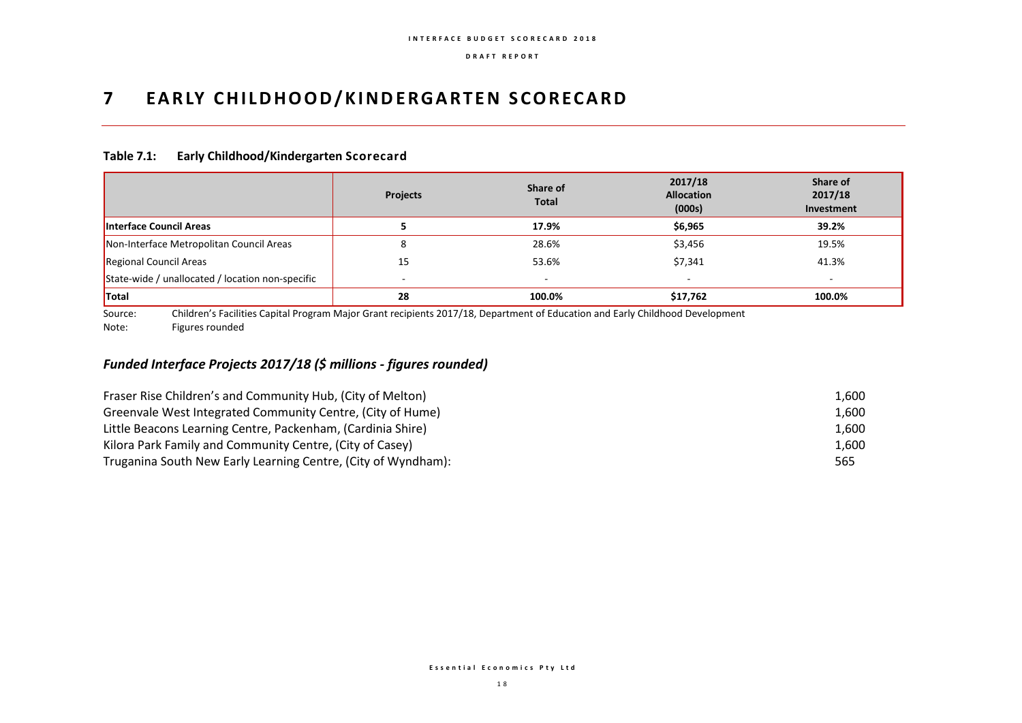## **7 EARLY CHILDHOOD/KINDERGARTEN SCORECARD**

### **Table 7.1: Early Childhood/Kindergarten Scorecard**

|                                                  | <b>Projects</b> | Share of<br><b>Total</b> | 2017/18<br><b>Allocation</b><br>(000s) | Share of<br>2017/18<br>Investment |
|--------------------------------------------------|-----------------|--------------------------|----------------------------------------|-----------------------------------|
| <b>Interface Council Areas</b>                   |                 | 17.9%                    | \$6,965                                | 39.2%                             |
| Non-Interface Metropolitan Council Areas         |                 | 28.6%                    | \$3,456                                | 19.5%                             |
| Regional Council Areas                           | 15              | 53.6%                    | \$7,341                                | 41.3%                             |
| State-wide / unallocated / location non-specific | -               | $\overline{\phantom{a}}$ | $\overline{\phantom{a}}$               | -                                 |
| <b>Total</b>                                     | 28              | 100.0%                   | \$17,762                               | 100.0%                            |

Source: Children's Facilities Capital Program Major Grant recipients 2017/18, Department of Education and Early Childhood Development Note: Figures rounded

## *Funded Interface Projects 2017/18 (\$ millions - figures rounded)*

| Fraser Rise Children's and Community Hub, (City of Melton)    | 1.600 |
|---------------------------------------------------------------|-------|
| Greenvale West Integrated Community Centre, (City of Hume)    | 1.600 |
| Little Beacons Learning Centre, Packenham, (Cardinia Shire)   | 1.600 |
| Kilora Park Family and Community Centre, (City of Casey)      | 1.600 |
| Truganina South New Early Learning Centre, (City of Wyndham): | 565   |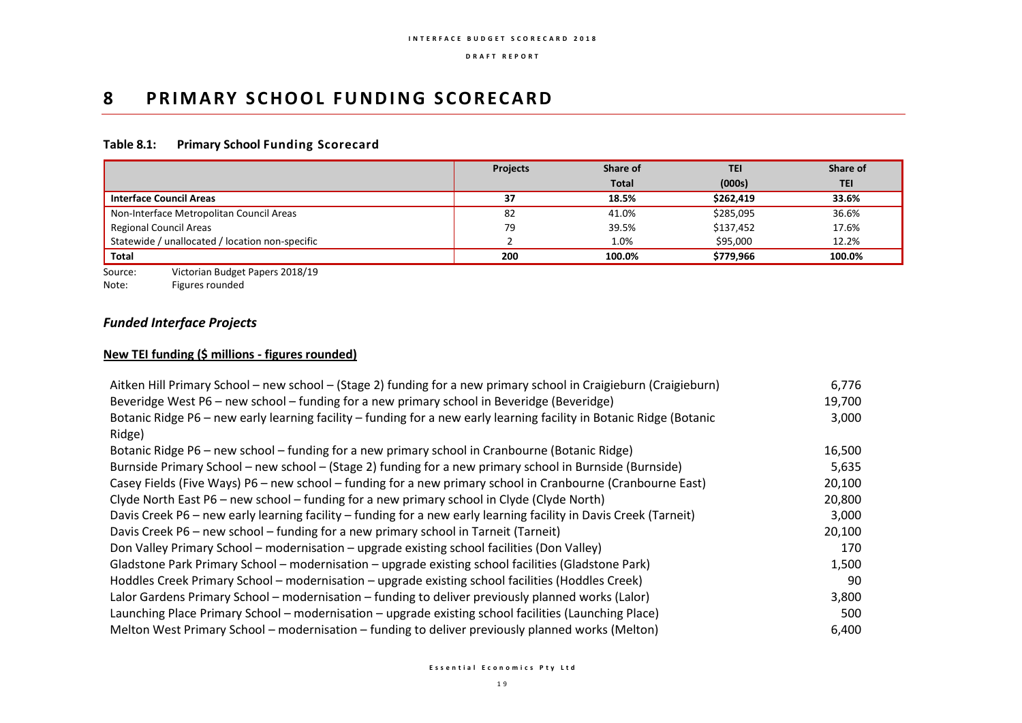## **8 PRIMARY SCHOOL FUNDING SCORECARD**

## **Table 8.1: Primary School Funding Scorecard**

|                                                 | <b>Projects</b> | Share of     | <b>TEI</b> | Share of   |
|-------------------------------------------------|-----------------|--------------|------------|------------|
|                                                 |                 | <b>Total</b> | (000s)     | <b>TEI</b> |
| <b>Interface Council Areas</b>                  | 37              | 18.5%        | \$262,419  | 33.6%      |
| Non-Interface Metropolitan Council Areas        | 82              | 41.0%        | \$285,095  | 36.6%      |
| <b>Regional Council Areas</b>                   | 79              | 39.5%        | \$137,452  | 17.6%      |
| Statewide / unallocated / location non-specific |                 | 1.0%         | \$95,000   | 12.2%      |
| Total                                           | 200             | 100.0%       | \$779,966  | 100.0%     |

Source: Victorian Budget Papers 2018/19<br>Note: Figures rounded

Figures rounded

## *Funded Interface Projects*

## **New TEI funding (\$ millions - figures rounded)**

| Aitken Hill Primary School – new school – (Stage 2) funding for a new primary school in Craigieburn (Craigieburn)    | 6,776  |
|----------------------------------------------------------------------------------------------------------------------|--------|
| Beveridge West P6 - new school - funding for a new primary school in Beveridge (Beveridge)                           | 19,700 |
| Botanic Ridge P6 - new early learning facility - funding for a new early learning facility in Botanic Ridge (Botanic | 3,000  |
| Ridge)                                                                                                               |        |
| Botanic Ridge P6 - new school - funding for a new primary school in Cranbourne (Botanic Ridge)                       | 16,500 |
| Burnside Primary School – new school – (Stage 2) funding for a new primary school in Burnside (Burnside)             | 5,635  |
| Casey Fields (Five Ways) P6 - new school - funding for a new primary school in Cranbourne (Cranbourne East)          | 20,100 |
| Clyde North East P6 – new school – funding for a new primary school in Clyde (Clyde North)                           | 20,800 |
| Davis Creek P6 - new early learning facility - funding for a new early learning facility in Davis Creek (Tarneit)    | 3,000  |
| Davis Creek P6 – new school – funding for a new primary school in Tarneit (Tarneit)                                  | 20,100 |
| Don Valley Primary School – modernisation – upgrade existing school facilities (Don Valley)                          | 170    |
| Gladstone Park Primary School - modernisation - upgrade existing school facilities (Gladstone Park)                  | 1,500  |
| Hoddles Creek Primary School - modernisation - upgrade existing school facilities (Hoddles Creek)                    | 90     |
| Lalor Gardens Primary School - modernisation - funding to deliver previously planned works (Lalor)                   | 3,800  |
| Launching Place Primary School - modernisation - upgrade existing school facilities (Launching Place)                | 500    |
| Melton West Primary School – modernisation – funding to deliver previously planned works (Melton)                    | 6,400  |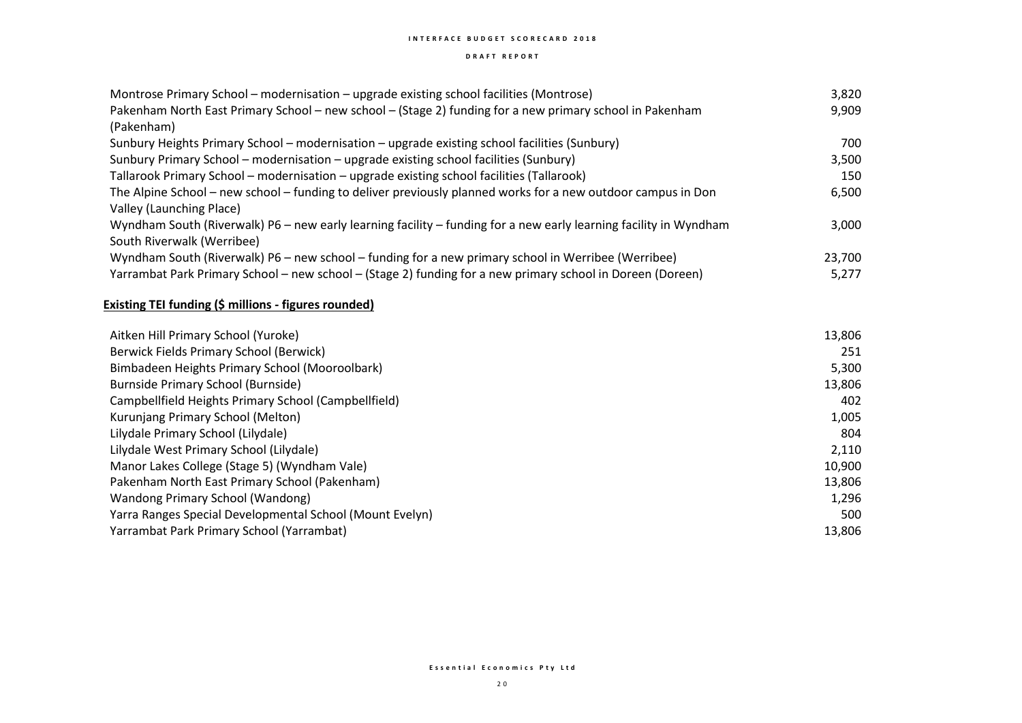#### **I N T E R F A C E B U D G E T S C O R E C A R D 2 0 1 8**

#### **D R A F T R E P O R T**

| Montrose Primary School - modernisation - upgrade existing school facilities (Montrose)                           | 3,820  |
|-------------------------------------------------------------------------------------------------------------------|--------|
| Pakenham North East Primary School - new school - (Stage 2) funding for a new primary school in Pakenham          | 9,909  |
| (Pakenham)                                                                                                        |        |
| Sunbury Heights Primary School - modernisation - upgrade existing school facilities (Sunbury)                     | 700    |
| Sunbury Primary School - modernisation - upgrade existing school facilities (Sunbury)                             | 3,500  |
| Tallarook Primary School - modernisation - upgrade existing school facilities (Tallarook)                         | 150    |
| The Alpine School – new school – funding to deliver previously planned works for a new outdoor campus in Don      | 6,500  |
| Valley (Launching Place)                                                                                          |        |
| Wyndham South (Riverwalk) P6 - new early learning facility - funding for a new early learning facility in Wyndham | 3,000  |
| South Riverwalk (Werribee)                                                                                        |        |
| Wyndham South (Riverwalk) P6 – new school – funding for a new primary school in Werribee (Werribee)               | 23,700 |
| Yarrambat Park Primary School - new school - (Stage 2) funding for a new primary school in Doreen (Doreen)        | 5,277  |

| Berwick Fields Primary School (Berwick)                  | 251<br>5,300 |
|----------------------------------------------------------|--------------|
|                                                          |              |
| Bimbadeen Heights Primary School (Mooroolbark)           |              |
| Burnside Primary School (Burnside)                       | 13,806       |
| Campbellfield Heights Primary School (Campbellfield)     | 402          |
| Kurunjang Primary School (Melton)                        | 1,005        |
| Lilydale Primary School (Lilydale)                       | 804          |
| Lilydale West Primary School (Lilydale)                  | 2,110        |
| Manor Lakes College (Stage 5) (Wyndham Vale)             | 10,900       |
| Pakenham North East Primary School (Pakenham)            | 13,806       |
| Wandong Primary School (Wandong)                         | 1,296        |
| Yarra Ranges Special Developmental School (Mount Evelyn) | 500          |
| Yarrambat Park Primary School (Yarrambat)                | 13,806       |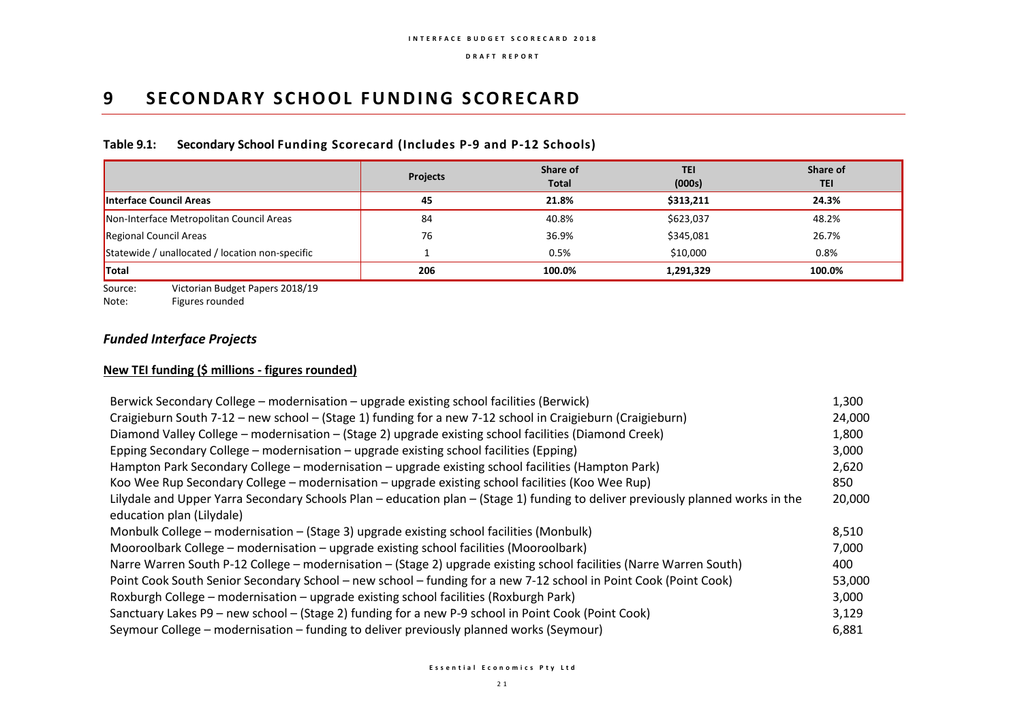## **9 SECONDARY SCHOOL FUNDING SCORECARD**

## **Table 9.1: Secondary School Funding Scorecard (Includes P-9 and P-12 Schools)**

|                                                 | <b>Projects</b> | Share of<br><b>Total</b> | <b>TEI</b><br>(000s) | Share of<br><b>TEI</b> |
|-------------------------------------------------|-----------------|--------------------------|----------------------|------------------------|
| <b>Interface Council Areas</b>                  | 45              | 21.8%                    | \$313.211            | 24.3%                  |
| Non-Interface Metropolitan Council Areas        | 84              | 40.8%                    | \$623,037            | 48.2%                  |
| Regional Council Areas                          | 76              | 36.9%                    | \$345,081            | 26.7%                  |
| Statewide / unallocated / location non-specific |                 | 0.5%                     | \$10,000             | 0.8%                   |
| <b>Total</b>                                    | 206             | 100.0%                   | 1,291,329            | 100.0%                 |

Source: Victorian Budget Papers 2018/19<br>Note: Figures rounded

Figures rounded

## *Funded Interface Projects*

### **New TEI funding (\$ millions - figures rounded)**

| Berwick Secondary College - modernisation - upgrade existing school facilities (Berwick)                                        | 1,300  |
|---------------------------------------------------------------------------------------------------------------------------------|--------|
| Craigieburn South 7-12 - new school - (Stage 1) funding for a new 7-12 school in Craigieburn (Craigieburn)                      | 24,000 |
| Diamond Valley College - modernisation - (Stage 2) upgrade existing school facilities (Diamond Creek)                           | 1,800  |
| Epping Secondary College – modernisation – upgrade existing school facilities (Epping)                                          | 3,000  |
| Hampton Park Secondary College – modernisation – upgrade existing school facilities (Hampton Park)                              | 2,620  |
| Koo Wee Rup Secondary College – modernisation – upgrade existing school facilities (Koo Wee Rup)                                | 850    |
| Lilydale and Upper Yarra Secondary Schools Plan - education plan - (Stage 1) funding to deliver previously planned works in the | 20,000 |
| education plan (Lilydale)                                                                                                       |        |
| Monbulk College – modernisation – (Stage 3) upgrade existing school facilities (Monbulk)                                        | 8,510  |
| Mooroolbark College - modernisation - upgrade existing school facilities (Mooroolbark)                                          | 7,000  |
| Narre Warren South P-12 College – modernisation – (Stage 2) upgrade existing school facilities (Narre Warren South)             | 400    |
| Point Cook South Senior Secondary School – new school – funding for a new 7-12 school in Point Cook (Point Cook)                | 53,000 |
| Roxburgh College - modernisation - upgrade existing school facilities (Roxburgh Park)                                           | 3,000  |
| Sanctuary Lakes P9 - new school - (Stage 2) funding for a new P-9 school in Point Cook (Point Cook)                             | 3,129  |
| Seymour College – modernisation – funding to deliver previously planned works (Seymour)                                         | 6,881  |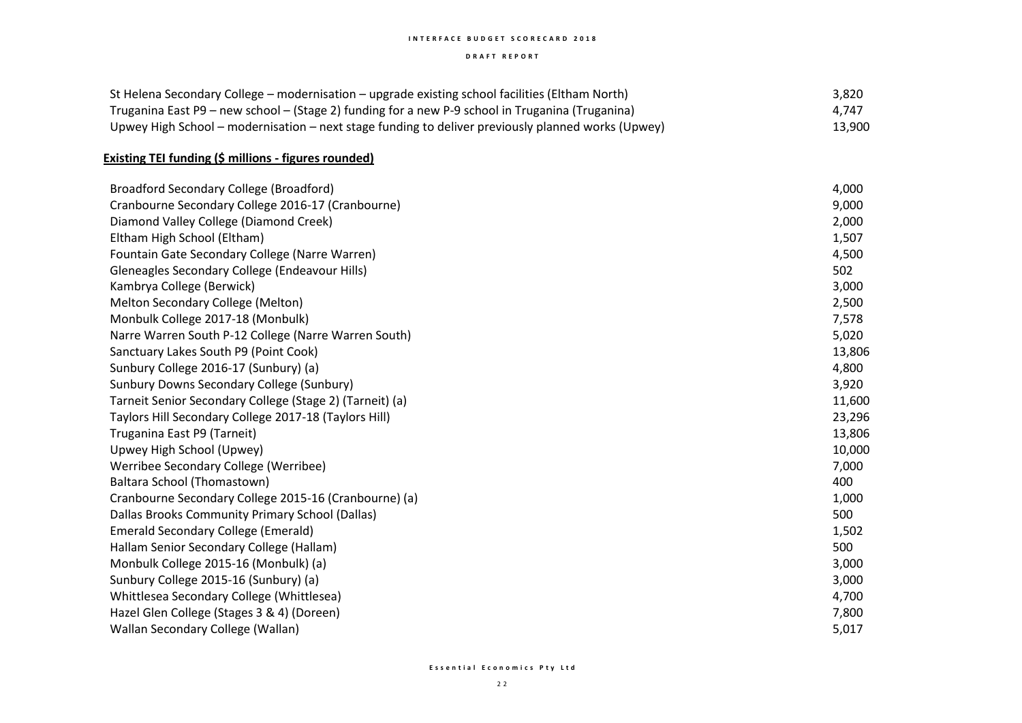#### **I N T E R F A C E B U D G E T S C O R E C A R D 2 0 1 8**

#### **D R A F T R E P O R T**

| St Helena Secondary College – modernisation – upgrade existing school facilities (Eltham North)    | 3,820  |
|----------------------------------------------------------------------------------------------------|--------|
| Truganina East P9 – new school – (Stage 2) funding for a new P-9 school in Truganina (Truganina)   | 4.747  |
| Upwey High School – modernisation – next stage funding to deliver previously planned works (Upwey) | 13,900 |

## **Existing TEI funding (\$ millions - figures rounded)**

| Broadford Secondary College (Broadford)                  | 4,000  |
|----------------------------------------------------------|--------|
| Cranbourne Secondary College 2016-17 (Cranbourne)        | 9,000  |
| Diamond Valley College (Diamond Creek)                   | 2,000  |
| Eltham High School (Eltham)                              | 1,507  |
| Fountain Gate Secondary College (Narre Warren)           | 4,500  |
| Gleneagles Secondary College (Endeavour Hills)           | 502    |
| Kambrya College (Berwick)                                | 3,000  |
| Melton Secondary College (Melton)                        | 2,500  |
| Monbulk College 2017-18 (Monbulk)                        | 7,578  |
| Narre Warren South P-12 College (Narre Warren South)     | 5,020  |
| Sanctuary Lakes South P9 (Point Cook)                    | 13,806 |
| Sunbury College 2016-17 (Sunbury) (a)                    | 4,800  |
| Sunbury Downs Secondary College (Sunbury)                | 3,920  |
| Tarneit Senior Secondary College (Stage 2) (Tarneit) (a) | 11,600 |
| Taylors Hill Secondary College 2017-18 (Taylors Hill)    | 23,296 |
| Truganina East P9 (Tarneit)                              | 13,806 |
| Upwey High School (Upwey)                                | 10,000 |
| Werribee Secondary College (Werribee)                    | 7,000  |
| Baltara School (Thomastown)                              | 400    |
| Cranbourne Secondary College 2015-16 (Cranbourne) (a)    | 1,000  |
| Dallas Brooks Community Primary School (Dallas)          | 500    |
| <b>Emerald Secondary College (Emerald)</b>               | 1,502  |
| Hallam Senior Secondary College (Hallam)                 | 500    |
| Monbulk College 2015-16 (Monbulk) (a)                    | 3,000  |
| Sunbury College 2015-16 (Sunbury) (a)                    | 3,000  |
| Whittlesea Secondary College (Whittlesea)                | 4,700  |
| Hazel Glen College (Stages 3 & 4) (Doreen)               | 7,800  |
| Wallan Secondary College (Wallan)                        | 5,017  |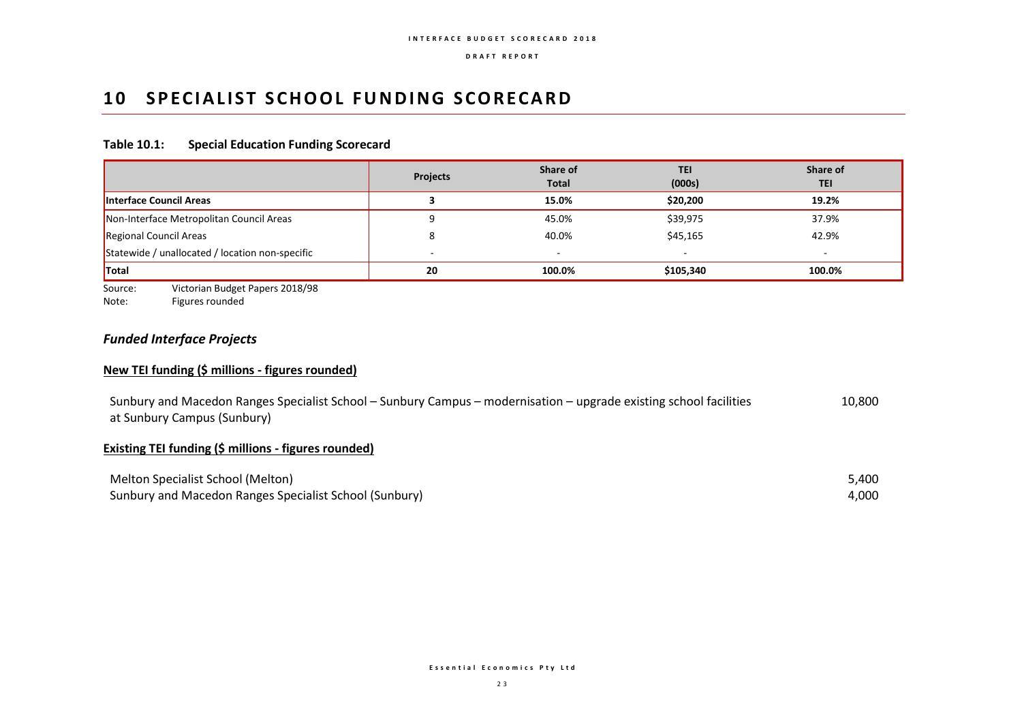## **10 SPECIALIST SCHOOL FUNDING SCORECARD**

#### **Table 10.1: Special Education Funding Scorecard**

|                                                 | <b>Projects</b> | Share of<br><b>Total</b> | <b>TEI</b><br>(000s) | Share of<br><b>TEI</b> |
|-------------------------------------------------|-----------------|--------------------------|----------------------|------------------------|
| Interface Council Areas                         |                 | 15.0%                    | \$20,200             | 19.2%                  |
| Non-Interface Metropolitan Council Areas        |                 | 45.0%                    | \$39,975             | 37.9%                  |
| Regional Council Areas                          |                 | 40.0%                    | \$45,165             | 42.9%                  |
| Statewide / unallocated / location non-specific |                 | $\overline{\phantom{a}}$ | -                    |                        |
| <b>Total</b>                                    | 20              | 100.0%                   | \$105,340            | 100.0%                 |

Source: Victorian Budget Papers 2018/98

Note: Figures rounded

## *Funded Interface Projects*

#### **New TEI funding (\$ millions - figures rounded)**

Sunbury and Macedon Ranges Specialist School – Sunbury Campus – modernisation – upgrade existing school facilities at Sunbury Campus (Sunbury) 10,800

## **Existing TEI funding (\$ millions - figures rounded)**

| Melton Specialist School (Melton)                      | 5,400 |
|--------------------------------------------------------|-------|
| Sunbury and Macedon Ranges Specialist School (Sunbury) | 4,000 |

**E s s e n t i a l E c o n o m i c s P t y L t d**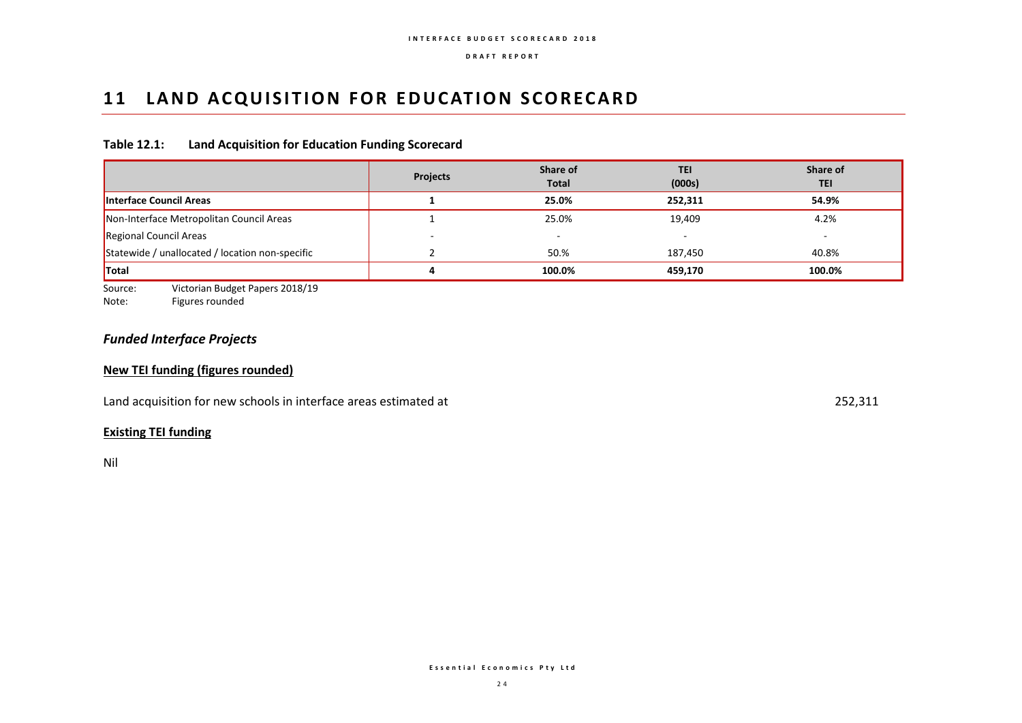## **11 LAND ACQUISITION FOR EDUCATION SCORECARD**

### **Table 12.1: Land Acquisition for Education Funding Scorecard**

|                                                 | <b>Projects</b> | Share of<br><b>Total</b> | TEI<br>(000s) | Share of<br><b>TEI</b> |
|-------------------------------------------------|-----------------|--------------------------|---------------|------------------------|
| Interface Council Areas                         |                 | 25.0%                    | 252.311       | 54.9%                  |
| Non-Interface Metropolitan Council Areas        |                 | 25.0%                    | 19,409        | 4.2%                   |
| Regional Council Areas                          |                 |                          |               |                        |
| Statewide / unallocated / location non-specific |                 | 50.%                     | 187,450       | 40.8%                  |
| <b>Total</b>                                    | 4               | 100.0%                   | 459.170       | 100.0%                 |

Source: Victorian Budget Papers 2018/19

Note: Figures rounded

## *Funded Interface Projects*

### **New TEI funding (figures rounded)**

Land acquisition for new schools in interface areas estimated at 252,311

## **Existing TEI funding**

Nil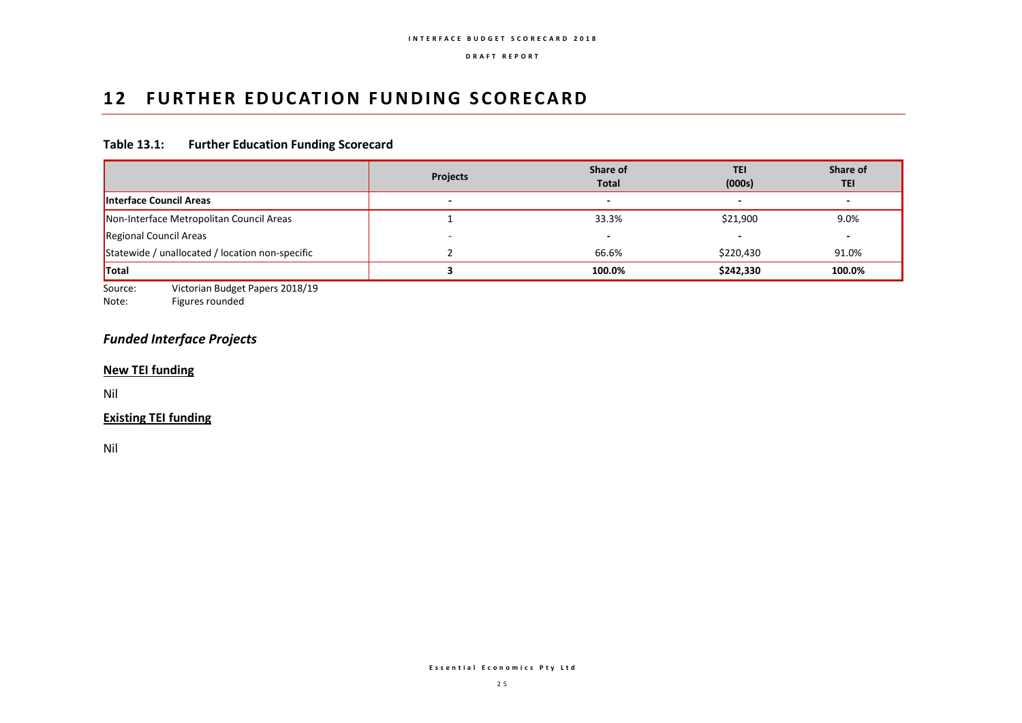## **12 FURTHER EDUCATION FUNDING SCORECARD**

## **Table 13.1: Further Education Funding Scorecard**

|                                                 | <b>Projects</b>          | Share of<br><b>Total</b> | <b>TEI</b><br>(000s)     | Share of<br><b>TEI</b>   |
|-------------------------------------------------|--------------------------|--------------------------|--------------------------|--------------------------|
| <b>Interface Council Areas</b>                  | $\overline{\phantom{0}}$ | $\overline{\phantom{0}}$ | $\overline{\phantom{0}}$ | $\overline{\phantom{0}}$ |
| Non-Interface Metropolitan Council Areas        |                          | 33.3%                    | \$21,900                 | 9.0%                     |
| Regional Council Areas                          |                          |                          |                          | $\overline{\phantom{0}}$ |
| Statewide / unallocated / location non-specific |                          | 66.6%                    | \$220,430                | 91.0%                    |
| <b>Total</b>                                    |                          | 100.0%                   | \$242,330                | 100.0%                   |

Source: Victorian Budget Papers 2018/19<br>Note: Figures rounded

Figures rounded

## *Funded Interface Projects*

#### **New TEI funding**

Nil

## **Existing TEI funding**

Nil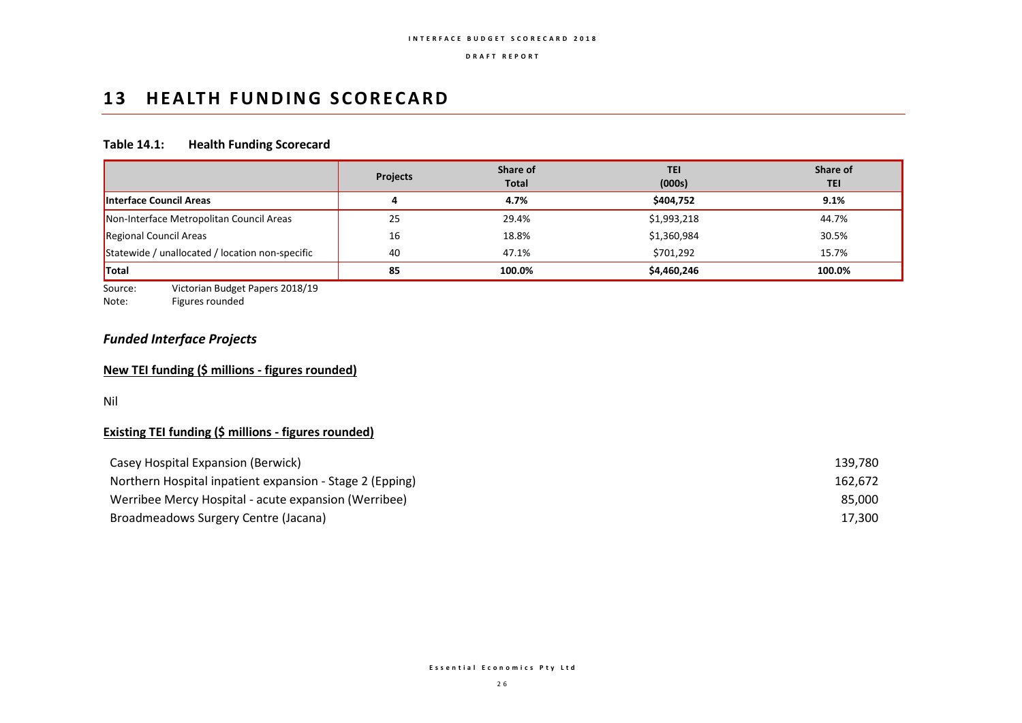## 13 **HEALTH FUNDING SCORECARD**

## **Table 14.1: Health Funding Scorecard**

|                                                 | <b>Projects</b> | Share of<br><b>Total</b> | TEI<br>(000s) | Share of<br><b>TEI</b> |
|-------------------------------------------------|-----------------|--------------------------|---------------|------------------------|
| Interface Council Areas                         |                 | 4.7%                     | \$404,752     | 9.1%                   |
| Non-Interface Metropolitan Council Areas        | 25              | 29.4%                    | \$1,993,218   | 44.7%                  |
| Regional Council Areas                          | 16              | 18.8%                    | \$1,360,984   | 30.5%                  |
| Statewide / unallocated / location non-specific | 40              | 47.1%                    | \$701,292     | 15.7%                  |
| <b>Total</b>                                    | 85              | 100.0%                   | \$4,460,246   | 100.0%                 |

Source: Victorian Budget Papers 2018/19<br>Note: Figures rounded

Figures rounded

## *Funded Interface Projects*

### **New TEI funding (\$ millions - figures rounded)**

Nil

## **Existing TEI funding (\$ millions - figures rounded)**

| Casey Hospital Expansion (Berwick)                       | 139.780 |
|----------------------------------------------------------|---------|
| Northern Hospital inpatient expansion - Stage 2 (Epping) | 162.672 |
| Werribee Mercy Hospital - acute expansion (Werribee)     | 85.000  |
| Broadmeadows Surgery Centre (Jacana)                     | 17,300  |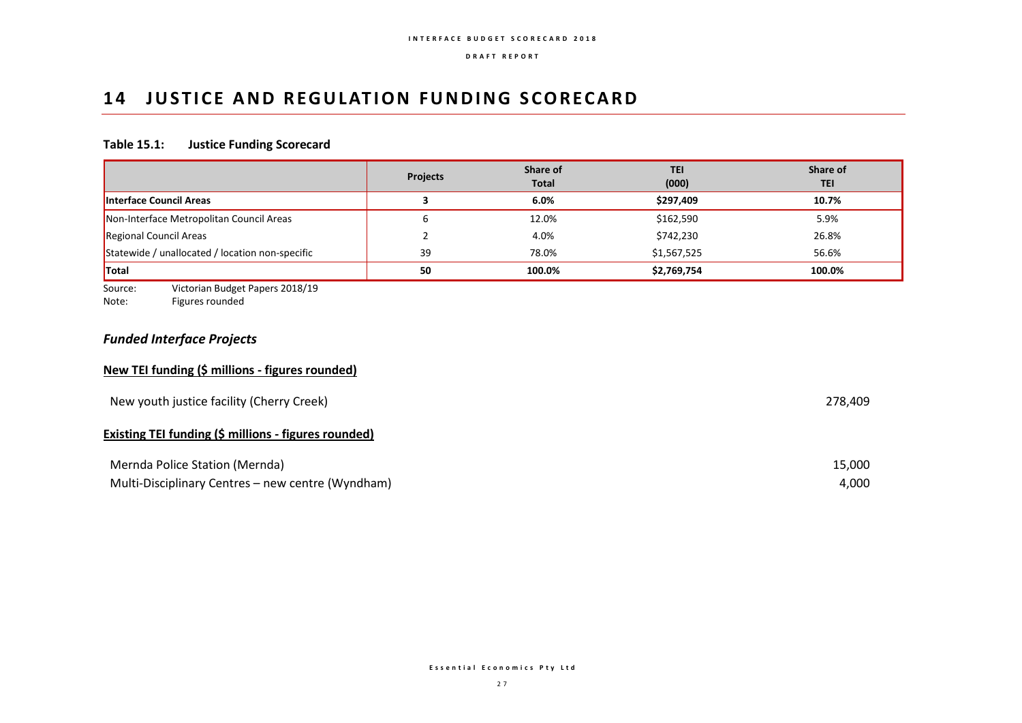## **14 JUSTICE AND REGULATION FUNDING SCORECARD**

## **Table 15.1: Justice Funding Scorecard**

|                                                 | <b>Projects</b> | Share of<br><b>Total</b> | <b>TEI</b><br>(000) | Share of<br><b>TEI</b> |
|-------------------------------------------------|-----------------|--------------------------|---------------------|------------------------|
| Interface Council Areas                         |                 | 6.0%                     | \$297,409           | 10.7%                  |
| Non-Interface Metropolitan Council Areas        | b               | 12.0%                    | \$162,590           | 5.9%                   |
| Regional Council Areas                          |                 | 4.0%                     | \$742,230           | 26.8%                  |
| Statewide / unallocated / location non-specific | 39              | 78.0%                    | \$1,567,525         | 56.6%                  |
| <b>Total</b>                                    | 50              | 100.0%                   | \$2,769,754         | 100.0%                 |

Source: Victorian Budget Papers 2018/19<br>Note: Figures rounded

Figures rounded

## *Funded Interface Projects*

### **New TEI funding (\$ millions - figures rounded)**

| New youth justice facility (Cherry Creek)            | 278.409 |
|------------------------------------------------------|---------|
| Existing TEI funding (\$ millions - figures rounded) |         |
| Mernda Police Station (Mernda)                       | 15,000  |
| Multi-Disciplinary Centres - new centre (Wyndham)    | 4,000   |

**E s s e n t i a l E c o n o m i c s P t y L t d**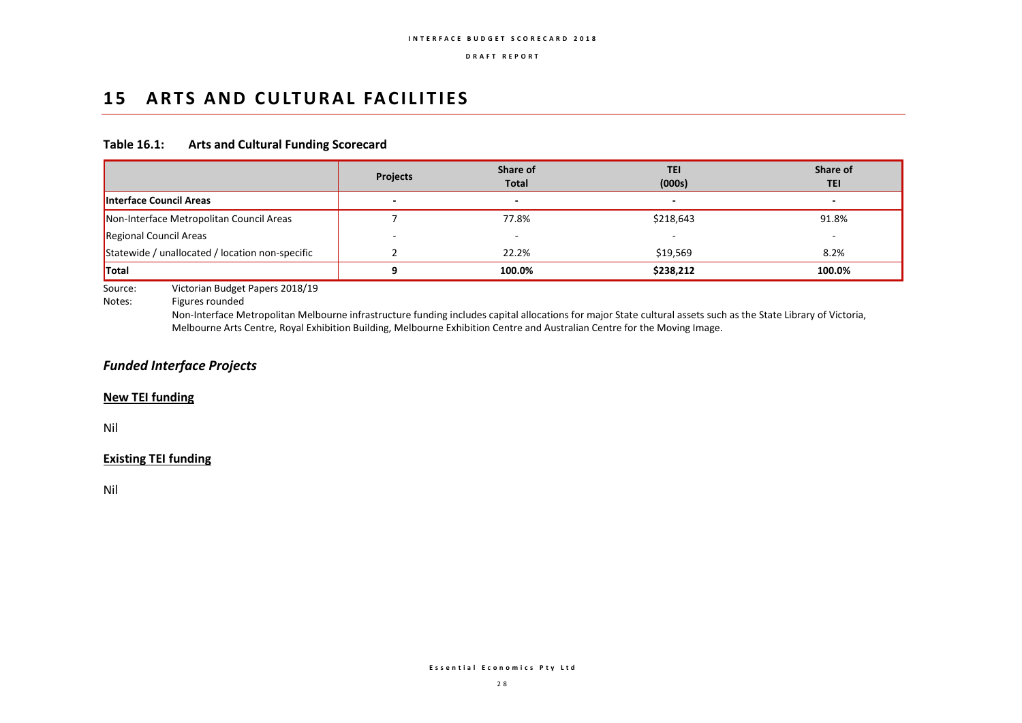## 15 ARTS AND CULTURAL FACILITIES

#### **Table 16.1: Arts and Cultural Funding Scorecard**

|                                                 | <b>Projects</b> | Share of<br><b>Total</b> | TEI<br>(000s) | Share of<br><b>TEI</b> |
|-------------------------------------------------|-----------------|--------------------------|---------------|------------------------|
| Interface Council Areas                         |                 | $\overline{\phantom{a}}$ |               |                        |
| Non-Interface Metropolitan Council Areas        |                 | 77.8%                    | \$218,643     | 91.8%                  |
| Regional Council Areas                          |                 |                          |               | -                      |
| Statewide / unallocated / location non-specific |                 | 22.2%                    | \$19,569      | 8.2%                   |
| <b>Total</b>                                    |                 | 100.0%                   | \$238,212     | 100.0%                 |

Source: Victorian Budget Papers 2018/19

Notes: Figures rounded

Non-Interface Metropolitan Melbourne infrastructure funding includes capital allocations for major State cultural assets such as the State Library of Victoria, Melbourne Arts Centre, Royal Exhibition Building, Melbourne Exhibition Centre and Australian Centre for the Moving Image.

## *Funded Interface Projects*

#### **New TEI funding**

Nil

#### **Existing TEI funding**

Nil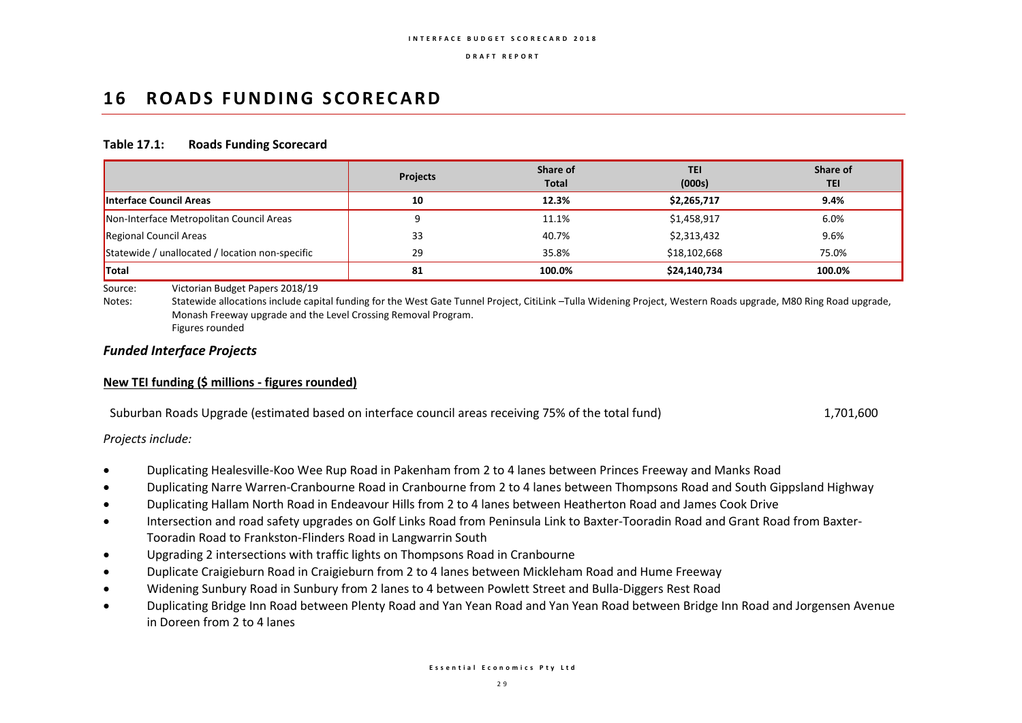## 16 **ROADS FUNDING SCORECARD**

#### **Table 17.1: Roads Funding Scorecard**

|                                                 | <b>Projects</b> | Share of<br><b>Total</b> | TEI<br>(000s) | Share of<br>TEI |
|-------------------------------------------------|-----------------|--------------------------|---------------|-----------------|
| <b>Interface Council Areas</b>                  | 10              | 12.3%                    | \$2,265,717   | 9.4%            |
| Non-Interface Metropolitan Council Areas        |                 | 11.1%                    | \$1,458,917   | 6.0%            |
| Regional Council Areas                          | 33              | 40.7%                    | \$2,313,432   | 9.6%            |
| Statewide / unallocated / location non-specific | 29              | 35.8%                    | \$18,102,668  | 75.0%           |
| <b>Total</b>                                    | 81              | 100.0%                   | \$24,140,734  | 100.0%          |

Source: Victorian Budget Papers 2018/19

Notes: Statewide allocations include capital funding for the West Gate Tunnel Project, CitiLink –Tulla Widening Project, Western Roads upgrade, M80 Ring Road upgrade, Monash Freeway upgrade and the Level Crossing Removal Program. Figures rounded

#### *Funded Interface Projects*

### **New TEI funding (\$ millions - figures rounded)**

| Suburban Roads Upgrade (estimated based on interface council areas receiving 75% of the total fund)<br>1,701,600 |
|------------------------------------------------------------------------------------------------------------------|
|------------------------------------------------------------------------------------------------------------------|

*Projects include:*

- Duplicating Healesville-Koo Wee Rup Road in Pakenham from 2 to 4 lanes between Princes Freeway and Manks Road
- Duplicating Narre Warren-Cranbourne Road in Cranbourne from 2 to 4 lanes between Thompsons Road and South Gippsland Highway
- Duplicating Hallam North Road in Endeavour Hills from 2 to 4 lanes between Heatherton Road and James Cook Drive
- Intersection and road safety upgrades on Golf Links Road from Peninsula Link to Baxter-Tooradin Road and Grant Road from Baxter-Tooradin Road to Frankston-Flinders Road in Langwarrin South
- Upgrading 2 intersections with traffic lights on Thompsons Road in Cranbourne
- Duplicate Craigieburn Road in Craigieburn from 2 to 4 lanes between Mickleham Road and Hume Freeway
- Widening Sunbury Road in Sunbury from 2 lanes to 4 between Powlett Street and Bulla-Diggers Rest Road
- Duplicating Bridge Inn Road between Plenty Road and Yan Yean Road and Yan Yean Road between Bridge Inn Road and Jorgensen Avenue in Doreen from 2 to 4 lanes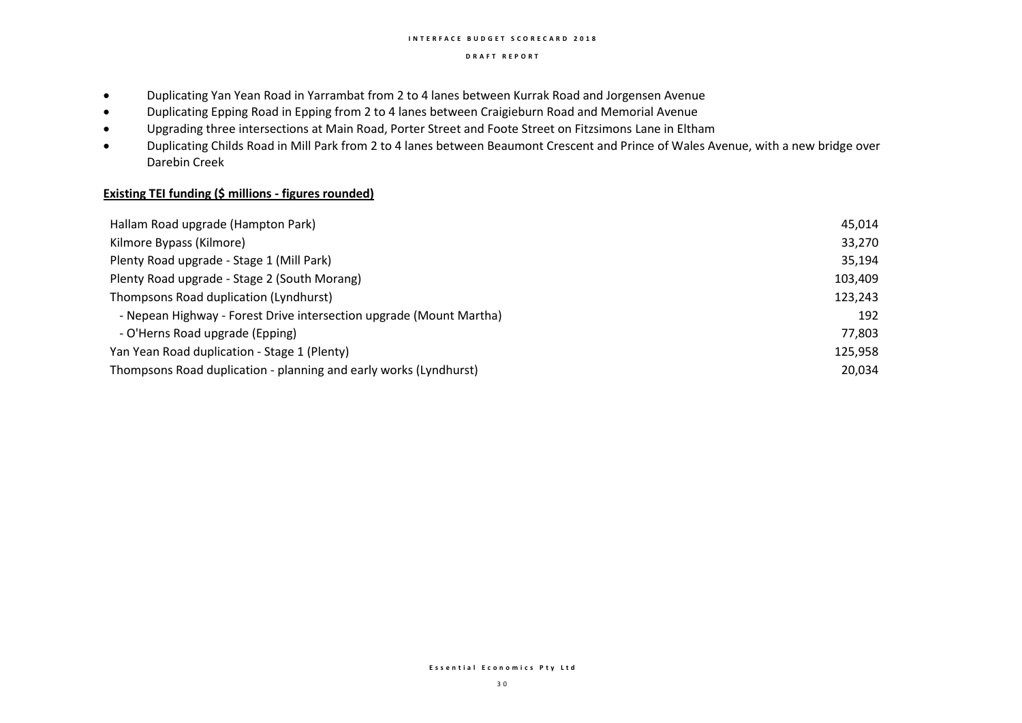#### **I N T E R F A C E B U D G E T S C O R E C A R D 2 0 1 8**

#### **D R A F T R E P O R T**

- Duplicating Yan Yean Road in Yarrambat from 2 to 4 lanes between Kurrak Road and Jorgensen Avenue
- Duplicating Epping Road in Epping from 2 to 4 lanes between Craigieburn Road and Memorial Avenue
- Upgrading three intersections at Main Road, Porter Street and Foote Street on Fitzsimons Lane in Eltham
- Duplicating Childs Road in Mill Park from 2 to 4 lanes between Beaumont Crescent and Prince of Wales Avenue, with a new bridge over Darebin Creek

## **Existing TEI funding (\$ millions - figures rounded)**

| Hallam Road upgrade (Hampton Park)                                  | 45,014  |
|---------------------------------------------------------------------|---------|
| Kilmore Bypass (Kilmore)                                            | 33,270  |
| Plenty Road upgrade - Stage 1 (Mill Park)                           | 35,194  |
| Plenty Road upgrade - Stage 2 (South Morang)                        | 103,409 |
| Thompsons Road duplication (Lyndhurst)                              | 123,243 |
| - Nepean Highway - Forest Drive intersection upgrade (Mount Martha) | 192     |
| - O'Herns Road upgrade (Epping)                                     | 77,803  |
| Yan Yean Road duplication - Stage 1 (Plenty)                        | 125,958 |
| Thompsons Road duplication - planning and early works (Lyndhurst)   | 20,034  |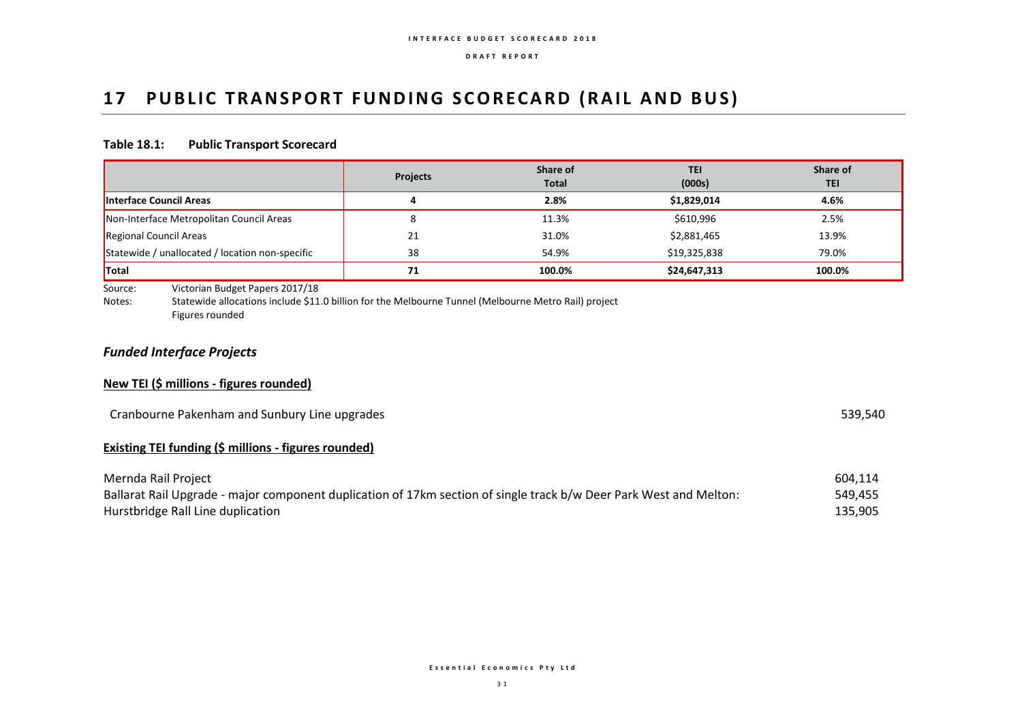## 17 PUBLIC TRANSPORT FUNDING SCORECARD (RAIL AND BUS)

#### **Table 18.1: Public Transport Scorecard**

|                                                 | <b>Projects</b> | Share of<br>Total | TEI<br>(000s) | Share of<br>TEI |
|-------------------------------------------------|-----------------|-------------------|---------------|-----------------|
| Interface Council Areas                         |                 | 2.8%              | \$1,829,014   | 4.6%            |
| Non-Interface Metropolitan Council Areas        |                 | 11.3%             | \$610,996     | 2.5%            |
| Regional Council Areas                          | 21              | 31.0%             | \$2,881,465   | 13.9%           |
| Statewide / unallocated / location non-specific | 38              | 54.9%             | \$19,325,838  | 79.0%           |
| <b>Total</b>                                    | 71              | 100.0%            | \$24,647,313  | 100.0%          |

Source: Victorian Budget Papers 2017/18

Notes: Statewide allocations include \$11.0 billion for the Melbourne Tunnel (Melbourne Metro Rail) project Figures rounded

## *Funded Interface Projects*

#### **New TEI (\$ millions - figures rounded)**

| Cranbourne Pakenham and Sunbury Line upgrades<br><u>in the contract of the contract of the contract of the contract of the contract of the contract of the contract of the contract of the contract of the contract of the contract of the contract of the contract of the contra</u> | 539,540 |
|---------------------------------------------------------------------------------------------------------------------------------------------------------------------------------------------------------------------------------------------------------------------------------------|---------|
|---------------------------------------------------------------------------------------------------------------------------------------------------------------------------------------------------------------------------------------------------------------------------------------|---------|

#### **Existing TEI funding (\$ millions - figures rounded)**

| Mernda Rail Project                                                                                                | 604.114 |
|--------------------------------------------------------------------------------------------------------------------|---------|
| Ballarat Rail Upgrade - major component duplication of 17km section of single track b/w Deer Park West and Melton: | 549,455 |
| Hurstbridge Rall Line duplication                                                                                  | 135.905 |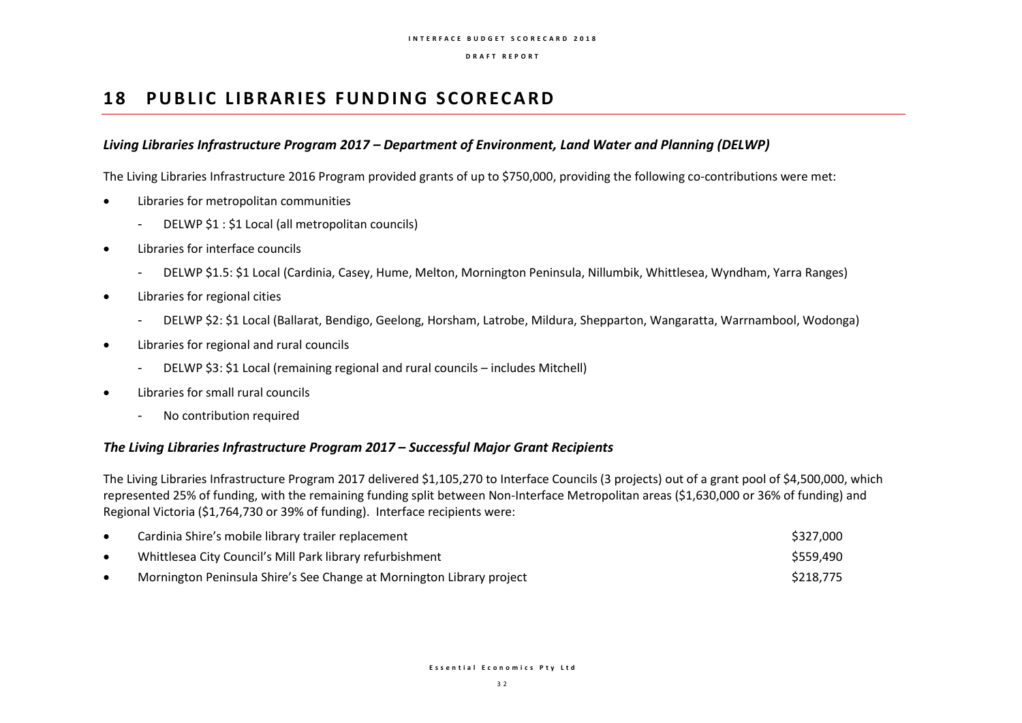## **18 PUBLIC LIBRARIES FUNDING SCORECARD**

#### *Living Libraries Infrastructure Program 2017 – Department of Environment, Land Water and Planning (DELWP)*

The Living Libraries Infrastructure 2016 Program provided grants of up to \$750,000, providing the following co-contributions were met:

- Libraries for metropolitan communities
	- DELWP \$1 : \$1 Local (all metropolitan councils)
- Libraries for interface councils
	- DELWP \$1.5: \$1 Local (Cardinia, Casey, Hume, Melton, Mornington Peninsula, Nillumbik, Whittlesea, Wyndham, Yarra Ranges)
- Libraries for regional cities
	- DELWP \$2: \$1 Local (Ballarat, Bendigo, Geelong, Horsham, Latrobe, Mildura, Shepparton, Wangaratta, Warrnambool, Wodonga)
- Libraries for regional and rural councils
	- DELWP \$3: \$1 Local (remaining regional and rural councils includes Mitchell)
- Libraries for small rural councils
	- No contribution required

#### *The Living Libraries Infrastructure Program 2017 – Successful Major Grant Recipients*

The Living Libraries Infrastructure Program 2017 delivered \$1,105,270 to Interface Councils (3 projects) out of a grant pool of \$4,500,000, which represented 25% of funding, with the remaining funding split between Non-Interface Metropolitan areas (\$1,630,000 or 36% of funding) and Regional Victoria (\$1,764,730 or 39% of funding). Interface recipients were:

| Cardinia Shire's mobile library trailer replacement                   | \$327,000 |
|-----------------------------------------------------------------------|-----------|
| Whittlesea City Council's Mill Park library refurbishment             | \$559,490 |
| Mornington Peninsula Shire's See Change at Mornington Library project | \$218,775 |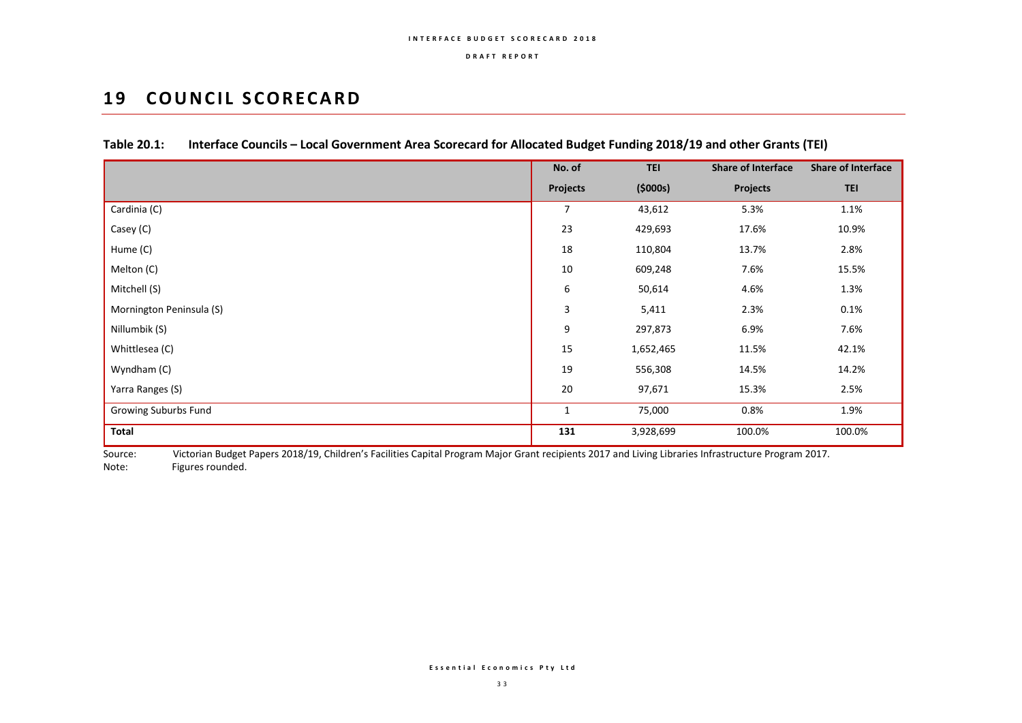## **19 COUNCIL SCORECARD**

|                          | No. of           | <b>TEI</b> | <b>Share of Interface</b> | <b>Share of Interface</b> |
|--------------------------|------------------|------------|---------------------------|---------------------------|
|                          | <b>Projects</b>  | (5000s)    | <b>Projects</b>           | <b>TEI</b>                |
| Cardinia (C)             | $\overline{7}$   | 43,612     | 5.3%                      | 1.1%                      |
| Casey (C)                | 23               | 429,693    | 17.6%                     | 10.9%                     |
| Hume (C)                 | 18               | 110,804    | 13.7%                     | 2.8%                      |
| Melton (C)               | $10\,$           | 609,248    | 7.6%                      | 15.5%                     |
| Mitchell (S)             | 6                | 50,614     | 4.6%                      | 1.3%                      |
| Mornington Peninsula (S) | 3                | 5,411      | 2.3%                      | 0.1%                      |
| Nillumbik (S)            | $\boldsymbol{9}$ | 297,873    | 6.9%                      | 7.6%                      |
| Whittlesea (C)           | 15               | 1,652,465  | 11.5%                     | 42.1%                     |
| Wyndham (C)              | 19               | 556,308    | 14.5%                     | 14.2%                     |
| Yarra Ranges (S)         | 20               | 97,671     | 15.3%                     | 2.5%                      |
| Growing Suburbs Fund     | $\mathbf{1}$     | 75,000     | 0.8%                      | 1.9%                      |
| Total                    | 131              | 3,928,699  | 100.0%                    | 100.0%                    |

## **Table 20.1: Interface Councils – Local Government Area Scorecard for Allocated Budget Funding 2018/19 and other Grants (TEI)**

Source: Victorian Budget Papers 2018/19, Children's Facilities Capital Program Major Grant recipients 2017 and Living Libraries Infrastructure Program 2017. Note: Figures rounded.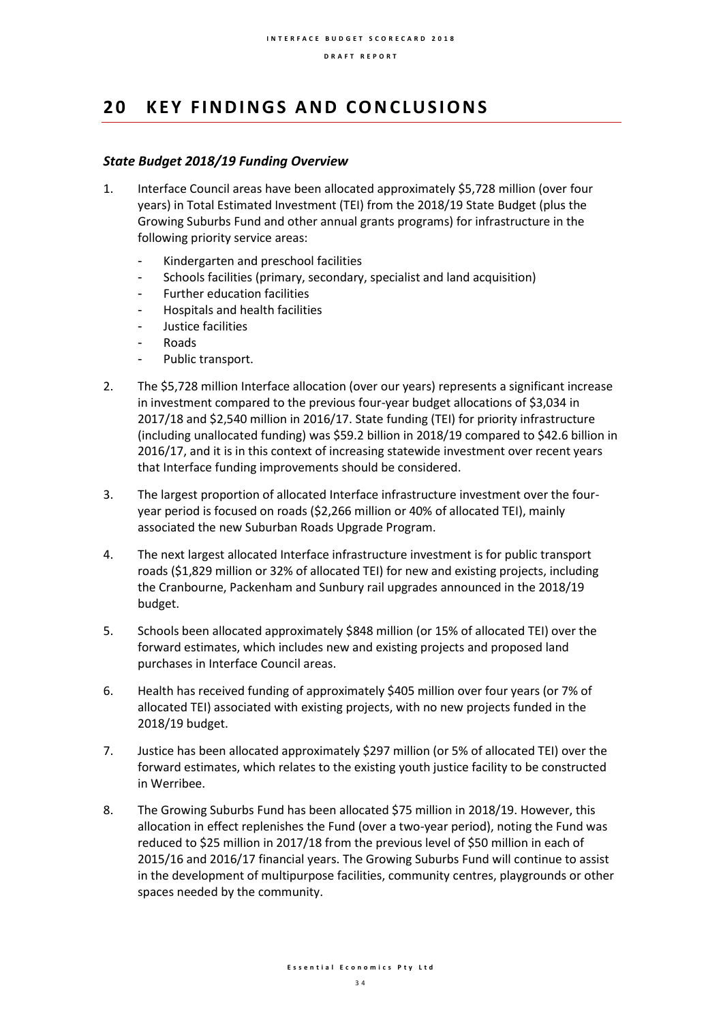## **2 0 K E Y F I N D I N G S A N D C O NC LU S I O N S**

#### *State Budget 2018/19 Funding Overview*

- 1. Interface Council areas have been allocated approximately \$5,728 million (over four years) in Total Estimated Investment (TEI) from the 2018/19 State Budget (plus the Growing Suburbs Fund and other annual grants programs) for infrastructure in the following priority service areas:
	- Kindergarten and preschool facilities
	- Schools facilities (primary, secondary, specialist and land acquisition)
	- Further education facilities
	- Hospitals and health facilities
	- Justice facilities
	- Roads
	- Public transport.
- 2. The \$5,728 million Interface allocation (over our years) represents a significant increase in investment compared to the previous four-year budget allocations of \$3,034 in 2017/18 and \$2,540 million in 2016/17. State funding (TEI) for priority infrastructure (including unallocated funding) was \$59.2 billion in 2018/19 compared to \$42.6 billion in 2016/17, and it is in this context of increasing statewide investment over recent years that Interface funding improvements should be considered.
- 3. The largest proportion of allocated Interface infrastructure investment over the fouryear period is focused on roads (\$2,266 million or 40% of allocated TEI), mainly associated the new Suburban Roads Upgrade Program.
- 4. The next largest allocated Interface infrastructure investment is for public transport roads (\$1,829 million or 32% of allocated TEI) for new and existing projects, including the Cranbourne, Packenham and Sunbury rail upgrades announced in the 2018/19 budget.
- 5. Schools been allocated approximately \$848 million (or 15% of allocated TEI) over the forward estimates, which includes new and existing projects and proposed land purchases in Interface Council areas.
- 6. Health has received funding of approximately \$405 million over four years (or 7% of allocated TEI) associated with existing projects, with no new projects funded in the 2018/19 budget.
- 7. Justice has been allocated approximately \$297 million (or 5% of allocated TEI) over the forward estimates, which relates to the existing youth justice facility to be constructed in Werribee.
- 8. The Growing Suburbs Fund has been allocated \$75 million in 2018/19. However, this allocation in effect replenishes the Fund (over a two-year period), noting the Fund was reduced to \$25 million in 2017/18 from the previous level of \$50 million in each of 2015/16 and 2016/17 financial years. The Growing Suburbs Fund will continue to assist in the development of multipurpose facilities, community centres, playgrounds or other spaces needed by the community.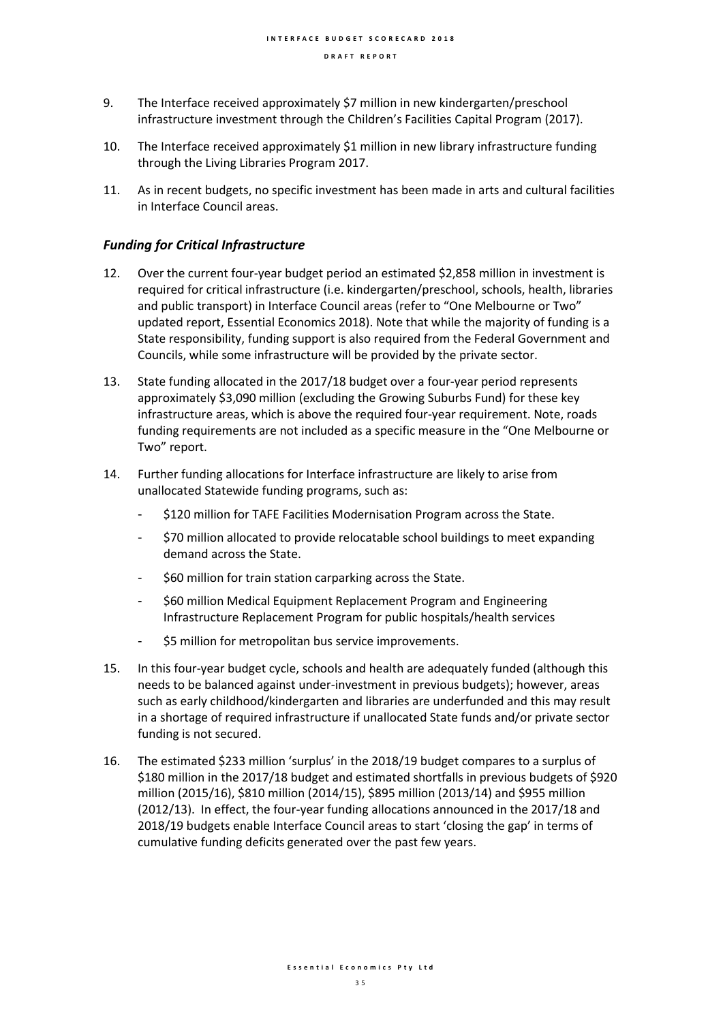- 9. The Interface received approximately \$7 million in new kindergarten/preschool infrastructure investment through the Children's Facilities Capital Program (2017).
- 10. The Interface received approximately \$1 million in new library infrastructure funding through the Living Libraries Program 2017.
- 11. As in recent budgets, no specific investment has been made in arts and cultural facilities in Interface Council areas.

#### *Funding for Critical Infrastructure*

- 12. Over the current four-year budget period an estimated \$2,858 million in investment is required for critical infrastructure (i.e. kindergarten/preschool, schools, health, libraries and public transport) in Interface Council areas (refer to "One Melbourne or Two" updated report, Essential Economics 2018). Note that while the majority of funding is a State responsibility, funding support is also required from the Federal Government and Councils, while some infrastructure will be provided by the private sector.
- 13. State funding allocated in the 2017/18 budget over a four-year period represents approximately \$3,090 million (excluding the Growing Suburbs Fund) for these key infrastructure areas, which is above the required four-year requirement. Note, roads funding requirements are not included as a specific measure in the "One Melbourne or Two" report.
- 14. Further funding allocations for Interface infrastructure are likely to arise from unallocated Statewide funding programs, such as:
	- \$120 million for TAFE Facilities Modernisation Program across the State.
	- \$70 million allocated to provide relocatable school buildings to meet expanding demand across the State.
	- \$60 million for train station carparking across the State.
	- \$60 million Medical Equipment Replacement Program and Engineering Infrastructure Replacement Program for public hospitals/health services
	- \$5 million for metropolitan bus service improvements.
- 15. In this four-year budget cycle, schools and health are adequately funded (although this needs to be balanced against under-investment in previous budgets); however, areas such as early childhood/kindergarten and libraries are underfunded and this may result in a shortage of required infrastructure if unallocated State funds and/or private sector funding is not secured.
- 16. The estimated \$233 million 'surplus' in the 2018/19 budget compares to a surplus of \$180 million in the 2017/18 budget and estimated shortfalls in previous budgets of \$920 million (2015/16), \$810 million (2014/15), \$895 million (2013/14) and \$955 million (2012/13). In effect, the four-year funding allocations announced in the 2017/18 and 2018/19 budgets enable Interface Council areas to start 'closing the gap' in terms of cumulative funding deficits generated over the past few years.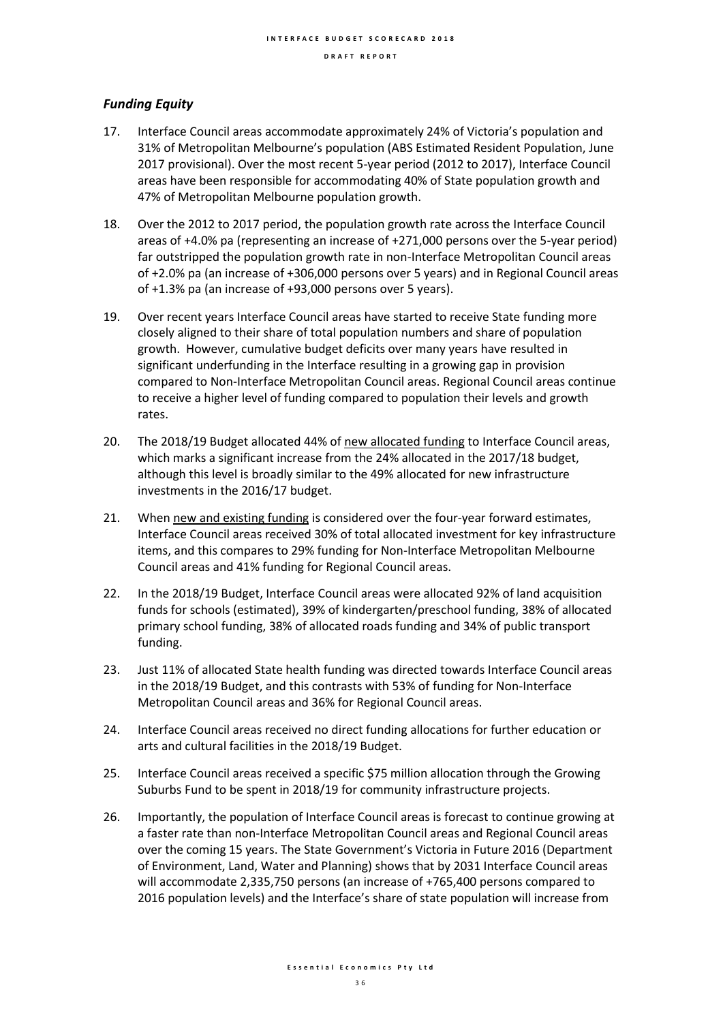### *Funding Equity*

- 17. Interface Council areas accommodate approximately 24% of Victoria's population and 31% of Metropolitan Melbourne's population (ABS Estimated Resident Population, June 2017 provisional). Over the most recent 5-year period (2012 to 2017), Interface Council areas have been responsible for accommodating 40% of State population growth and 47% of Metropolitan Melbourne population growth.
- 18. Over the 2012 to 2017 period, the population growth rate across the Interface Council areas of +4.0% pa (representing an increase of +271,000 persons over the 5-year period) far outstripped the population growth rate in non-Interface Metropolitan Council areas of +2.0% pa (an increase of +306,000 persons over 5 years) and in Regional Council areas of +1.3% pa (an increase of +93,000 persons over 5 years).
- 19. Over recent years Interface Council areas have started to receive State funding more closely aligned to their share of total population numbers and share of population growth. However, cumulative budget deficits over many years have resulted in significant underfunding in the Interface resulting in a growing gap in provision compared to Non-Interface Metropolitan Council areas. Regional Council areas continue to receive a higher level of funding compared to population their levels and growth rates.
- 20. The 2018/19 Budget allocated 44% of new allocated funding to Interface Council areas, which marks a significant increase from the 24% allocated in the 2017/18 budget, although this level is broadly similar to the 49% allocated for new infrastructure investments in the 2016/17 budget.
- 21. When new and existing funding is considered over the four-year forward estimates, Interface Council areas received 30% of total allocated investment for key infrastructure items, and this compares to 29% funding for Non-Interface Metropolitan Melbourne Council areas and 41% funding for Regional Council areas.
- 22. In the 2018/19 Budget, Interface Council areas were allocated 92% of land acquisition funds for schools (estimated), 39% of kindergarten/preschool funding, 38% of allocated primary school funding, 38% of allocated roads funding and 34% of public transport funding.
- 23. Just 11% of allocated State health funding was directed towards Interface Council areas in the 2018/19 Budget, and this contrasts with 53% of funding for Non-Interface Metropolitan Council areas and 36% for Regional Council areas.
- 24. Interface Council areas received no direct funding allocations for further education or arts and cultural facilities in the 2018/19 Budget.
- 25. Interface Council areas received a specific \$75 million allocation through the Growing Suburbs Fund to be spent in 2018/19 for community infrastructure projects.
- 26. Importantly, the population of Interface Council areas is forecast to continue growing at a faster rate than non-Interface Metropolitan Council areas and Regional Council areas over the coming 15 years. The State Government's Victoria in Future 2016 (Department of Environment, Land, Water and Planning) shows that by 2031 Interface Council areas will accommodate 2,335,750 persons (an increase of +765,400 persons compared to 2016 population levels) and the Interface's share of state population will increase from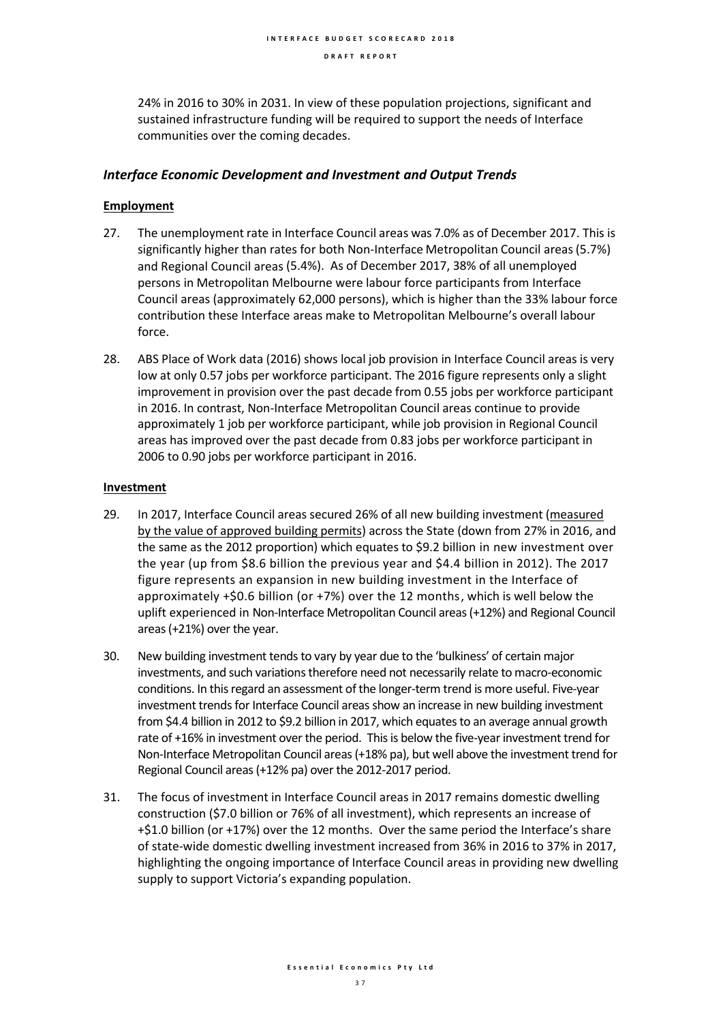24% in 2016 to 30% in 2031. In view of these population projections, significant and sustained infrastructure funding will be required to support the needs of Interface communities over the coming decades.

#### *Interface Economic Development and Investment and Output Trends*

#### **Employment**

- 27. The unemployment rate in Interface Council areas was 7.0% as of December 2017. This is significantly higher than rates for both Non-Interface Metropolitan Council areas(5.7%) and Regional Council areas (5.4%). As of December 2017, 38% of all unemployed persons in Metropolitan Melbourne were labour force participants from Interface Council areas (approximately 62,000 persons), which is higher than the 33% labour force contribution these Interface areas make to Metropolitan Melbourne's overall labour force.
- 28. ABS Place of Work data (2016) shows local job provision in Interface Council areas is very low at only 0.57 jobs per workforce participant. The 2016 figure represents only a slight improvement in provision over the past decade from 0.55 jobs per workforce participant in 2016. In contrast, Non-Interface Metropolitan Council areas continue to provide approximately 1 job per workforce participant, while job provision in Regional Council areas has improved over the past decade from 0.83 jobs per workforce participant in 2006 to 0.90 jobs per workforce participant in 2016.

#### **Investment**

- 29. In 2017, Interface Council areas secured 26% of all new building investment (measured by the value of approved building permits) across the State (down from 27% in 2016, and the same as the 2012 proportion) which equates to \$9.2 billion in new investment over the year (up from \$8.6 billion the previous year and \$4.4 billion in 2012). The 2017 figure represents an expansion in new building investment in the Interface of approximately +\$0.6 billion (or +7%) over the 12 months, which is well below the uplift experienced in Non-Interface Metropolitan Council areas (+12%) and Regional Council areas (+21%) over the year.
- 30. New building investment tends to vary by year due to the 'bulkiness' of certain major investments, and such variations therefore need not necessarily relate to macro-economic conditions. In this regard an assessment of the longer-term trend is more useful. Five-year investment trends for Interface Council areas show an increase in new building investment from \$4.4 billion in 2012 to \$9.2 billion in 2017, which equates to an average annual growth rate of +16% in investment over the period. This is below the five-year investment trend for Non-Interface Metropolitan Council areas (+18% pa), but well above the investment trend for Regional Council areas (+12% pa) over the 2012-2017 period.
- 31. The focus of investment in Interface Council areas in 2017 remains domestic dwelling construction (\$7.0 billion or 76% of all investment), which represents an increase of +\$1.0 billion (or +17%) over the 12 months. Over the same period the Interface's share of state-wide domestic dwelling investment increased from 36% in 2016 to 37% in 2017, highlighting the ongoing importance of Interface Council areas in providing new dwelling supply to support Victoria's expanding population.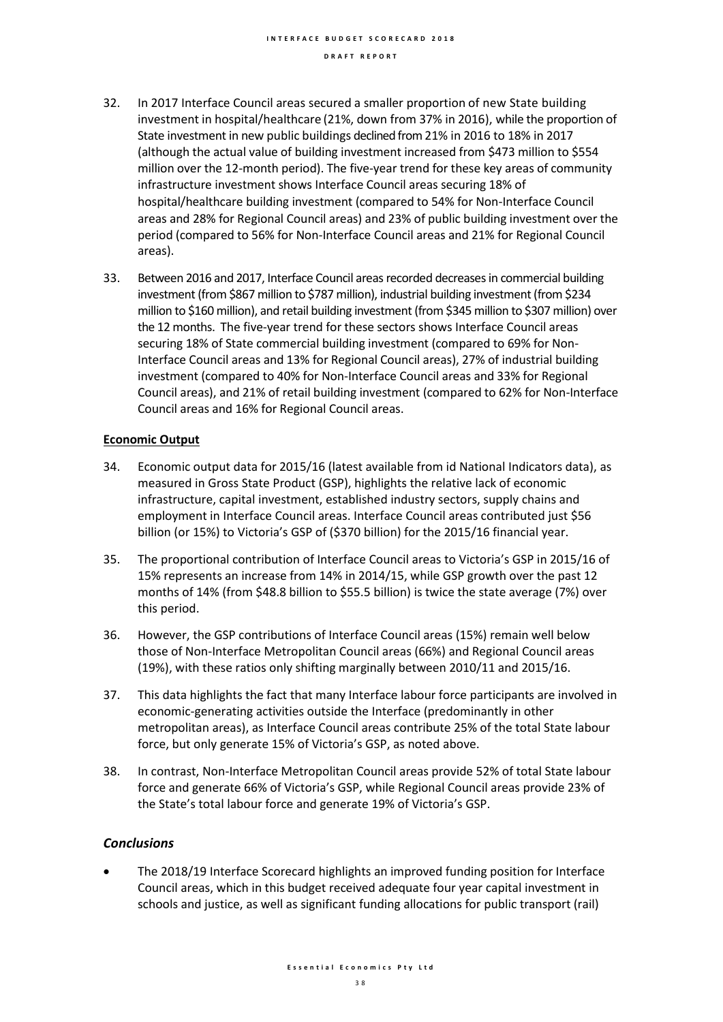- 32. In 2017 Interface Council areas secured a smaller proportion of new State building investment in hospital/healthcare (21%, down from 37% in 2016), while the proportion of State investment in new public buildings declined from 21% in 2016 to 18% in 2017 (although the actual value of building investment increased from \$473 million to \$554 million over the 12-month period). The five-year trend for these key areas of community infrastructure investment shows Interface Council areas securing 18% of hospital/healthcare building investment (compared to 54% for Non-Interface Council areas and 28% for Regional Council areas) and 23% of public building investment over the period (compared to 56% for Non-Interface Council areas and 21% for Regional Council areas).
- 33. Between 2016 and 2017, Interface Council areas recorded decreases in commercial building investment (from \$867 million to \$787 million), industrial building investment (from \$234 million to \$160 million), and retail building investment (from \$345 million to \$307 million) over the 12 months. The five-year trend for these sectors shows Interface Council areas securing 18% of State commercial building investment (compared to 69% for Non-Interface Council areas and 13% for Regional Council areas), 27% of industrial building investment (compared to 40% for Non-Interface Council areas and 33% for Regional Council areas), and 21% of retail building investment (compared to 62% for Non-Interface Council areas and 16% for Regional Council areas.

#### **Economic Output**

- 34. Economic output data for 2015/16 (latest available from id National Indicators data), as measured in Gross State Product (GSP), highlights the relative lack of economic infrastructure, capital investment, established industry sectors, supply chains and employment in Interface Council areas. Interface Council areas contributed just \$56 billion (or 15%) to Victoria's GSP of (\$370 billion) for the 2015/16 financial year.
- 35. The proportional contribution of Interface Council areas to Victoria's GSP in 2015/16 of 15% represents an increase from 14% in 2014/15, while GSP growth over the past 12 months of 14% (from \$48.8 billion to \$55.5 billion) is twice the state average (7%) over this period.
- 36. However, the GSP contributions of Interface Council areas (15%) remain well below those of Non-Interface Metropolitan Council areas (66%) and Regional Council areas (19%), with these ratios only shifting marginally between 2010/11 and 2015/16.
- 37. This data highlights the fact that many Interface labour force participants are involved in economic-generating activities outside the Interface (predominantly in other metropolitan areas), as Interface Council areas contribute 25% of the total State labour force, but only generate 15% of Victoria's GSP, as noted above.
- 38. In contrast, Non-Interface Metropolitan Council areas provide 52% of total State labour force and generate 66% of Victoria's GSP, while Regional Council areas provide 23% of the State's total labour force and generate 19% of Victoria's GSP.

### *Conclusions*

• The 2018/19 Interface Scorecard highlights an improved funding position for Interface Council areas, which in this budget received adequate four year capital investment in schools and justice, as well as significant funding allocations for public transport (rail)